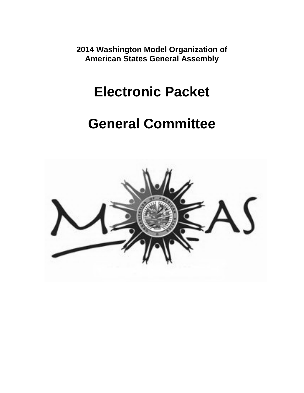**2014 Washington Model Organization of American States General Assembly**

# **Electronic Packet**

# **General Committee**

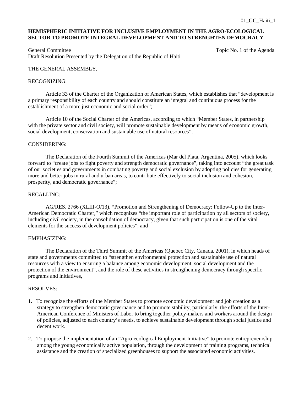# **HEMISPHERIC INITIATIVE FOR INCLUSIVE EMPLOYMENT IN THE AGRO-ECOLOGICAL SECTOR TO PROMOTE INTEGRAL DEVELOPMENT AND TO STRENGHTEN DEMOCRACY**

General Committee Topic No. 1 of the Agenda Committee Topic No. 1 of the Agenda Draft Resolution Presented by the Delegation of the Republic of Haiti

# THE GENERAL ASSEMBLY,

# RECOGNIZING:

Article 33 of the Charter of the Organization of American States, which establishes that "development is a primary responsibility of each country and should constitute an integral and continuous process for the establishment of a more just economic and social order";

Article 10 of the Social Charter of the Americas, according to which "Member States, in partnership with the private sector and civil society, will promote sustainable development by means of economic growth, social development, conservation and sustainable use of natural resources";

#### CONSIDERING:

The Declaration of the Fourth Summit of the Americas (Mar del Plata, Argentina, 2005), which looks forward to "create jobs to fight poverty and strength democratic governance", taking into account "the great task of our societies and governments in combating poverty and social exclusion by adopting policies for generating more and better jobs in rural and urban areas, to contribute effectively to social inclusion and cohesion, prosperity, and democratic governance";

## RECALLING:

AG/RES. 2766 (XLIII-O/13), "Promotion and Strengthening of Democracy: Follow-Up to the Inter-American Democratic Charter," which recognizes "the important role of participation by all sectors of society, including civil society, in the consolidation of democracy, given that such participation is one of the vital elements for the success of development policies"; and

## EMPHASIZING:

The Declaration of the Third Summit of the Americas (Quebec City, Canada, 2001), in which heads of state and governments committed to "strengthen environmental protection and sustainable use of natural resources with a view to ensuring a balance among economic development, social development and the protection of the environment", and the role of these activities in strengthening democracy through specific programs and initiatives,

- 1. To recognize the efforts of the Member States to promote economic development and job creation as a strategy to strengthen democratic governance and to promote stability, particularly, the efforts of the Inter-American Conference of Ministers of Labor to bring together policy-makers and workers around the design of policies, adjusted to each country's needs, to achieve sustainable development through social justice and decent work.
- 2. To propose the implementation of an "Agro-ecological Employment Initiative" to promote entrepreneurship among the young economically active population, through the development of training programs, technical assistance and the creation of specialized greenhouses to support the associated economic activities.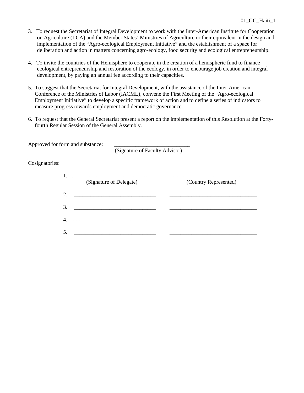- 3. To request the Secretariat of Integral Development to work with the Inter-American Institute for Cooperation on Agriculture (IICA) and the Member States' Ministries of Agriculture or their equivalent in the design and implementation of the "Agro-ecological Employment Initiative" and the establishment of a space for deliberation and action in matters concerning agro-ecology, food security and ecological entrepreneurship.
- 4. To invite the countries of the Hemisphere to cooperate in the creation of a hemispheric fund to finance ecological entrepreneurship and restoration of the ecology, in order to encourage job creation and integral development, by paying an annual fee according to their capacities.
- 5. To suggest that the Secretariat for Integral Development, with the assistance of the Inter-American Conference of the Ministries of Labor (IACML), convene the First Meeting of the "Agro-ecological Employment Initiative" to develop a specific framework of action and to define a series of indicators to measure progress towards employment and democratic governance.
- 6. To request that the General Secretariat present a report on the implementation of this Resolution at the Fortyfourth Regular Session of the General Assembly.

| Approved for form and substance: |                                |  |
|----------------------------------|--------------------------------|--|
|                                  | (Signature of Faculty Advisor) |  |
| $C$ osignatories $\cdot$         |                                |  |

Cosignatories:

|    | (Signature of Delegate) | (Country Represented) |
|----|-------------------------|-----------------------|
| 2. |                         |                       |
| 3. |                         |                       |
| 4. |                         |                       |
|    |                         |                       |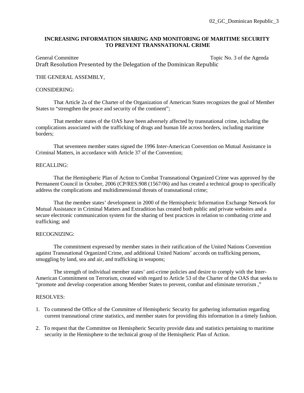# **INCREASING INFORMATION SHARING AND MONITORING OF MARITIME SECURITY TO PREVENT TRANSNATIONAL CRIME**

General Committee Topic No. 3 of the Agenda Draft Resolution Presented by the Delegation of the Dominican Republic

# THE GENERAL ASSEMBLY,

# CONSIDERING:

 That Article 2a of the Charter of the Organization of American States recognizes the goal of Member States to "strengthen the peace and security of the continent";

That member states of the OAS have been adversely affected by transnational crime, including the complications associated with the trafficking of drugs and human life across borders, including maritime borders;

That seventeen member states signed the 1996 Inter-American Convention on Mutual Assistance in Criminal Matters, in accordance with Article 37 of the Convention;

#### RECALLING:

That the Hemispheric Plan of Action to Combat Transnational Organized Crime was approved by the Permanent Council in October, 2006 (CP/RES.908 (1567/06) and has created a technical group to specifically address the complications and multidimensional threats of transnational crime;

That the member states' development in 2000 of the Hemispheric Information Exchange Network for Mutual Assistance in Criminal Matters and Extradition has created both public and private websites and a secure electronic communication system for the sharing of best practices in relation to combating crime and trafficking; and

#### RECOGNIZING:

The commitment expressed by member states in their ratification of the United Nations Convention against Transnational Organized Crime, and additional United Nations' accords on trafficking persons, smuggling by land, sea and air, and trafficking in weapons;

The strength of individual member states' anti-crime policies and desire to comply with the Inter-American Commitment on Terrorism, created with regard to Article 53 of the Charter of the OAS that seeks to "promote and develop cooperation among Member States to prevent, combat and eliminate terrorism ,"

- 1. To commend the Office of the Committee of Hemispheric Security for gathering information regarding current transnational crime statistics, and member states for providing this information in a timely fashion.
- 2. To request that the Committee on Hemispheric Security provide data and statistics pertaining to maritime security in the Hemisphere to the technical group of the Hemispheric Plan of Action.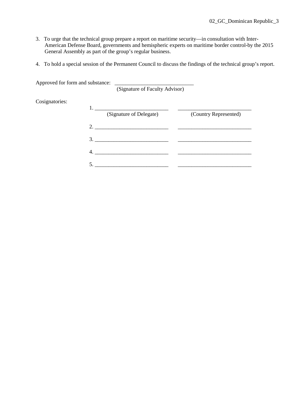- 3. To urge that the technical group prepare a report on maritime security—in consultation with Inter-American Defense Board, governments and hemispheric experts on maritime border control-by the 2015 General Assembly as part of the group's regular business.
- 4. To hold a special session of the Permanent Council to discuss the findings of the technical group's report.

| (Signature of Faculty Advisor)                    |                       |
|---------------------------------------------------|-----------------------|
|                                                   |                       |
| (Signature of Delegate)                           | (Country Represented) |
| 2.                                                |                       |
| $\overline{\mathbf{3.}}$ $\overline{\mathbf{1.}}$ |                       |
|                                                   |                       |
|                                                   |                       |
|                                                   |                       |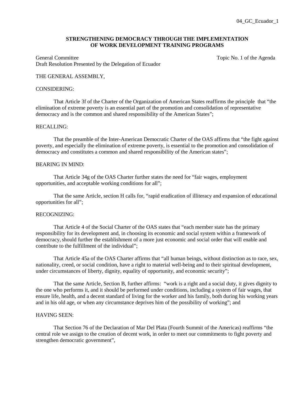# **STRENGTHENING DEMOCRACY THROUGH THE IMPLEMENTATION OF WORK DEVELOPMENT TRAINING PROGRAMS**

General Committee Topic No. 1 of the Agenda Committee Draft Resolution Presented by the Delegation of Ecuador

# THE GENERAL ASSEMBLY,

#### CONSIDERING:

 That Article 3f of the Charter of the Organization of American States reaffirms the principle that "the elimination of extreme poverty is an essential part of the promotion and consolidation of representative democracy and is the common and shared responsibility of the American States";

#### RECALLING:

 That the preamble of the Inter-American Democratic Charter of the OAS affirms that "the fight against poverty, and especially the elimination of extreme poverty, is essential to the promotion and consolidation of democracy and constitutes a common and shared responsibility of the American states";

# BEARING IN MIND:

 That Article 34g of the OAS Charter further states the need for "fair wages, employment opportunities, and acceptable working conditions for all";

 That the same Article, section H calls for, "rapid eradication of illiteracy and expansion of educational opportunities for all";

## RECOGNIZING:

 That Article 4 of the Social Charter of the OAS states that "each member state has the primary responsibility for its development and, in choosing its economic and social system within a framework of democracy, should further the establishment of a more just economic and social order that will enable and contribute to the fulfillment of the individual";

 That Article 45a of the OAS Charter affirms that "all human beings, without distinction as to race, sex, nationality, creed, or social condition, have a right to material well-being and to their spiritual development, under circumstances of liberty, dignity, equality of opportunity, and economic security";

 That the same Article, Section B, further affirms: "work is a right and a social duty, it gives dignity to the one who performs it, and it should be performed under conditions, including a system of fair wages, that ensure life, health, and a decent standard of living for the worker and his family, both during his working years and in his old age, or when any circumstance deprives him of the possibility of working"; and

#### HAVING SEEN:

 That Section 76 of the Declaration of Mar Del Plata (Fourth Summit of the Americas) reaffirms "the central role we assign to the creation of decent work, in order to meet our commitments to fight poverty and strengthen democratic government",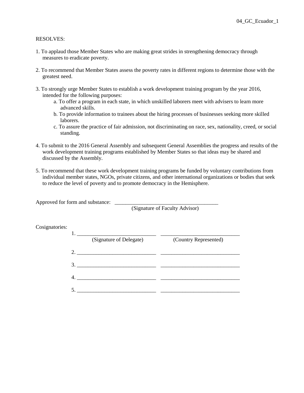# RESOLVES:

- 1. To applaud those Member States who are making great strides in strengthening democracy through measures to eradicate poverty.
- 2. To recommend that Member States assess the poverty rates in different regions to determine those with the greatest need.
- 3. To strongly urge Member States to establish a work development training program by the year 2016, intended for the following purposes:
	- a. To offer a program in each state, in which unskilled laborers meet with advisers to learn more advanced skills.
	- b. To provide information to trainees about the hiring processes of businesses seeking more skilled laborers.
	- c. To assure the practice of fair admission, not discriminating on race, sex, nationality, creed, or social standing.
- 4. To submit to the 2016 General Assembly and subsequent General Assemblies the progress and results of the work development training programs established by Member States so that ideas may be shared and discussed by the Assembly.
- 5. To recommend that these work development training programs be funded by voluntary contributions from individual member states, NGOs, private citizens, and other international organizations or bodies that seek to reduce the level of poverty and to promote democracy in the Hemisphere.

Approved for form and substance: \_\_\_\_\_\_\_\_\_\_\_\_\_\_\_\_\_\_\_\_\_\_\_\_\_\_\_\_\_\_\_\_\_\_\_\_\_\_

(Signature of Faculty Advisor)

| Cosignatories: |    |                         |                       |
|----------------|----|-------------------------|-----------------------|
|                |    | (Signature of Delegate) | (Country Represented) |
|                | 2. |                         |                       |
|                |    | 3.                      |                       |
|                |    |                         |                       |
|                |    |                         |                       |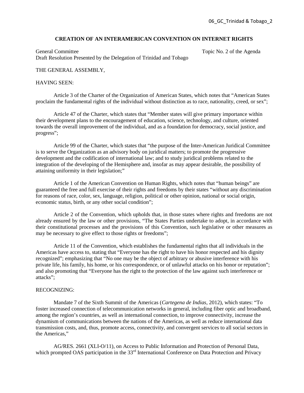#### **CREATION OF AN INTERAMERICAN CONVENTION ON INTERNET RIGHTS**

General Committee Topic No. 2 of the Agenda Draft Resolution Presented by the Delegation of Trinidad and Tobago

#### THE GENERAL ASSEMBLY,

#### HAVING SEEN:

 Article 3 of the Charter of the Organization of American States, which notes that "American States proclaim the fundamental rights of the individual without distinction as to race, nationality, creed, or sex";

 Article 47 of the Charter, which states that "Member states will give primary importance within their development plans to the encouragement of education, science, technology, and culture, oriented towards the overall improvement of the individual, and as a foundation for democracy, social justice, and progress";

 Article 99 of the Charter, which states that "the purpose of the Inter-American Juridical Committee is to serve the Organization as an advisory body on juridical matters; to promote the progressive development and the codification of international law; and to study juridical problems related to the integration of the developing of the Hemisphere and, insofar as may appear desirable, the possibility of attaining uniformity in their legislation;"

Article 1 of the American Convention on Human Rights, which notes that "human beings" are guaranteed the free and full exercise of their rights and freedoms by their states "without any discrimination for reasons of race, color, sex, language, religion, political or other opinion, national or social origin, economic status, birth, or any other social condition";

Article 2 of the Convention, which upholds that, in those states where rights and freedoms are not already ensured by the law or other provisions, "The States Parties undertake to adopt, in accordance with their constitutional processes and the provisions of this Convention, such legislative or other measures as may be necessary to give effect to those rights or freedoms";

Article 11 of the Convention, which establishes the fundamental rights that all individuals in the Americas have access to, stating that "Everyone has the right to have his honor respected and his dignity recognized"; emphasizing that "No one may be the object of arbitrary or abusive interference with his private life, his family, his home, or his correspondence, or of unlawful attacks on his honor or reputation"; and also promoting that "Everyone has the right to the protection of the law against such interference or attacks";

# RECOGNIZING:

Mandate 7 of the Sixth Summit of the Americas (*Cartegena de Indias*, 2012), which states: "To foster increased connection of telecommunication networks in general, including fiber optic and broadband, among the region's countries, as well as international connection, to improve connectivity, increase the dynamism of communications between the nations of the Americas, as well as reduce international data transmission costs, and, thus, promote access, connectivity, and convergent services to all social sectors in the Americas,"

AG/RES. 2661 (XLI-O/11), on Access to Public Information and Protection of Personal Data, which prompted OAS participation in the 33<sup>rd</sup> International Conference on Data Protection and Privacy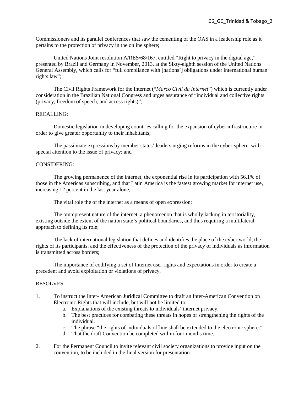Commissioners and its parallel conferences that saw the cementing of the OAS in a leadership role as it pertains to the protection of privacy in the online sphere;

United Nations Joint resolution A/RES/68/167, entitled "Right to privacy in the digital age," presented by Brazil and Germany in November, 2013, at the Sixty-eighth session of the United Nations General Assembly, which calls for "full compliance with [nations'] obligations under international human rights law";

The Civil Rights Framework for the Internet ("*Marco Civil da Internet*") which is currently under consideration in the Brazilian National Congress and urges assurance of "individual and collective rights (privacy, freedom of speech, and access rights)";

# RECALLING:

 Domestic legislation in developing countries calling for the expansion of cyber infrastructure in order to give greater opportunity to their inhabitants;

 The passionate expressions by member states' leaders urging reforms in the cyber-sphere, with special attention to the issue of privacy; and

# CONSIDERING:

 The growing permanence of the internet, the exponential rise in its participation with 56.1% of those in the Americas subscribing, and that Latin America is the fastest growing market for internet use, increasing 12 percent in the last year alone;

The vital role the of the internet as a means of open expression;

 The omnipresent nature of the internet, a phenomenon that is wholly lacking in territoriality, existing outside the extent of the nation state's political boundaries, and thus requiring a multilateral approach to defining its role;

 The lack of international legislation that defines and identifies the place of the cyber world, the rights of its participants, and the effectiveness of the protection of the privacy of individuals as information is transmitted across borders;

 The importance of codifying a set of Internet user rights and expectations in order to create a precedent and avoid exploitation or violations of privacy,

- 1. To instruct the Inter- American Juridical Committee to draft an Inter-American Convention on Electronic Rights that will include, but will not be limited to:
	- a. Explanations of the existing threats to individuals' internet privacy.
	- b. The best practices for combating these threats in hopes of strengthening the rights of the individual.
	- c. The phrase "the rights of individuals offline shall be extended to the electronic sphere."
	- d. That the draft Convention be completed within four months time.
- 2. For the Permanent Council to invite relevant civil society organizations to provide input on the convention, to be included in the final version for presentation.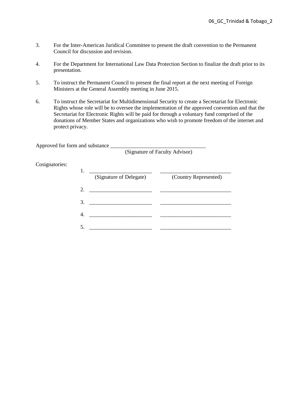- 3. For the Inter-American Juridical Committee to present the draft convention to the Permanent Council for discussion and revision.
- 4. For the Department for International Law Data Protection Section to finalize the draft prior to its presentation.
- 5. To instruct the Permanent Council to present the final report at the next meeting of Foreign Ministers at the General Assembly meeting in June 2015.
- 6. To instruct the Secretariat for Multidimensional Security to create a Secretariat for Electronic Rights whose role will be to oversee the implementation of the approved convention and that the Secretariat for Electronic Rights will be paid for through a voluntary fund comprised of the donations of Member States and organizations who wish to promote freedom of the internet and protect privacy.

Approved for form and substance

(Signature of Faculty Advisor)

# Cosignatories:

|                             | (Signature of Delegate) | (Country Represented) |
|-----------------------------|-------------------------|-----------------------|
| $\mathcal{D}_{\mathcal{L}}$ |                         |                       |
| 3                           |                         |                       |
|                             |                         |                       |
|                             |                         |                       |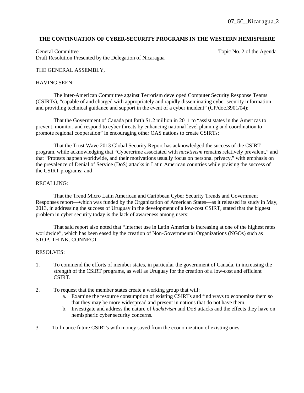# **THE CONTINUATION OF CYBER-SECURITY PROGRAMS IN THE WESTERN HEMISPHERE**

General Committee Topic No. 2 of the Agenda Draft Resolution Presented by the Delegation of Nicaragua

# THE GENERAL ASSEMBLY,

#### HAVING SEEN:

The Inter-American Committee against Terrorism developed Computer Security Response Teams (CSIRTs), "capable of and charged with appropriately and rapidly disseminating cyber security information and providing technical guidance and support in the event of a cyber incident" (CP/doc.3901/04);

That the Government of Canada put forth \$1.2 million in 2011 to "assist states in the Americas to prevent, monitor, and respond to cyber threats by enhancing national level planning and coordination to promote regional cooperation" in encouraging other OAS nations to create CSIRTs;

That the Trust Wave 2013 Global Security Report has acknowledged the success of the CSIRT program, while acknowledging that "Cybercrime associated with *hacktivism* remains relatively prevalent," and that "Protests happen worldwide, and their motivations usually focus on personal privacy," with emphasis on the prevalence of Denial of Service (DoS) attacks in Latin American countries while praising the success of the CSIRT programs; and

# RECALLING:

That the Trend Micro Latin American and Caribbean Cyber Security Trends and Government Responses report—which was funded by the Organization of American States—as it released its study in May, 2013, in addressing the success of Uruguay in the development of a low-cost CSIRT, stated that the biggest problem in cyber security today is the lack of awareness among users;

That said report also noted that "Internet use in Latin America is increasing at one of the highest rates worldwide", which has been eased by the creation of Non-Governmental Organizations (NGOs) such as STOP. THINK. CONNECT,

- 1. To commend the efforts of member states, in particular the government of Canada, in increasing the strength of the CSIRT programs, as well as Uruguay for the creation of a low-cost and efficient CSIRT.
- 2. To request that the member states create a working group that will:
	- a. Examine the resource consumption of existing CSIRTs and find ways to economize them so that they may be more widespread and present in nations that do not have them.
	- b. Investigate and address the nature of *hacktivism* and DoS attacks and the effects they have on hemispheric cyber security concerns.
- 3. To finance future CSIRTs with money saved from the economization of existing ones.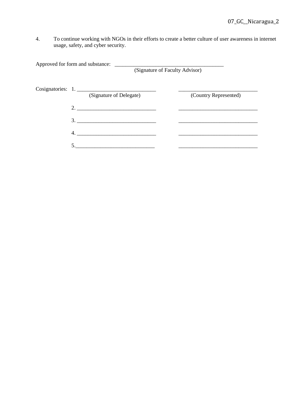4. To continue working with NGOs in their efforts to create a better culture of user awareness in internet usage, safety, and cyber security.

Approved for form and substance: \_\_\_\_\_\_\_\_\_\_\_\_\_\_\_\_\_\_\_\_\_\_\_\_\_\_\_\_\_\_\_\_\_\_\_\_\_\_\_\_ (Signature of Faculty Advisor) Cosignatories: 1. \_\_\_\_\_\_\_\_\_\_\_\_\_\_\_\_\_\_\_\_\_\_\_\_\_\_\_\_\_ \_\_\_\_\_\_\_\_\_\_\_\_\_\_\_\_\_\_\_\_\_\_\_\_\_\_\_\_\_ (Signature of Delegate) (Country Represented) 2. \_\_\_\_\_\_\_\_\_\_\_\_\_\_\_\_\_\_\_\_\_\_\_\_\_\_\_\_\_ \_\_\_\_\_\_\_\_\_\_\_\_\_\_\_\_\_\_\_\_\_\_\_\_\_\_\_\_\_  $3.$  4. \_\_\_\_\_\_\_\_\_\_\_\_\_\_\_\_\_\_\_\_\_\_\_\_\_\_\_\_\_ \_\_\_\_\_\_\_\_\_\_\_\_\_\_\_\_\_\_\_\_\_\_\_\_\_\_\_\_\_ 5.\_\_\_\_\_\_\_\_\_\_\_\_\_\_\_\_\_\_\_\_\_\_\_\_\_\_\_\_\_ \_\_\_\_\_\_\_\_\_\_\_\_\_\_\_\_\_\_\_\_\_\_\_\_\_\_\_\_\_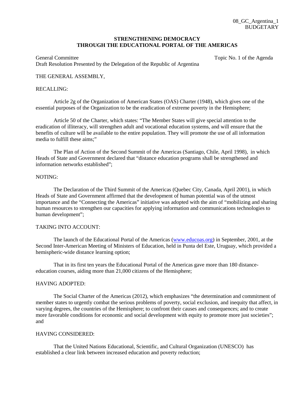# **STRENGTHENING DEMOCRACY THROUGH THE EDUCATIONAL PORTAL OF THE AMERICAS**

General Committee Topic No. 1 of the Agenda Committee Draft Resolution Presented by the Delegation of the Republic of Argentina

# THE GENERAL ASSEMBLY,

#### RECALLING:

 Article 2g of the Organization of American States (OAS) Charter (1948), which gives one of the essential purposes of the Organization to be the eradication of extreme poverty in the Hemisphere;

 Article 50 of the Charter, which states: "The Member States will give special attention to the eradication of illiteracy, will strengthen adult and vocational education systems, and will ensure that the benefits of culture will be available to the entire population. They will promote the use of all information media to fulfill these aims;"

The Plan of Action of the Second Summit of the Americas (Santiago, Chile, April 1998), in which Heads of State and Government declared that "distance education programs shall be strengthened and information networks established";

#### NOTING:

 The Declaration of the Third Summit of the Americas (Quebec City, Canada, April 2001), in which Heads of State and Government affirmed that the development of human potential was of the utmost importance and the "Connecting the Americas" initiative was adopted with the aim of "mobilizing and sharing human resources to strengthen our capacities for applying information and communications technologies to human development";

# TAKING INTO ACCOUNT:

 The launch of the Educational Portal of the Americas (www.educoas.org) in September, 2001, at the Second Inter-American Meeting of Ministers of Education, held in Punta del Este, Uruguay, which provided a hemispheric-wide distance learning option;

 That in its first ten years the Educational Portal of the Americas gave more than 180 distanceeducation courses, aiding more than 21,000 citizens of the Hemisphere;

# HAVING ADOPTED:

 The Social Charter of the Americas (2012), which emphasizes "the determination and commitment of member states to urgently combat the serious problems of poverty, social exclusion, and inequity that affect, in varying degrees, the countries of the Hemisphere; to confront their causes and consequences; and to create more favorable conditions for economic and social development with equity to promote more just societies"; and

#### HAVING CONSIDERED:

 That the United Nations Educational, Scientific, and Cultural Organization (UNESCO) has established a clear link between increased education and poverty reduction;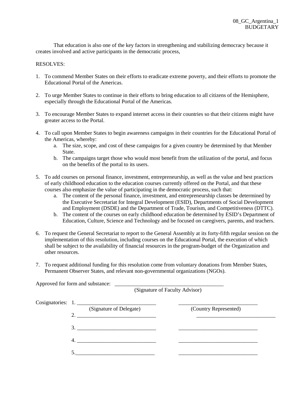That education is also one of the key factors in strengthening and stabilizing democracy because it creates involved and active participants in the democratic process,

- 1. To commend Member States on their efforts to eradicate extreme poverty, and their efforts to promote the Educational Portal of the Americas.
- 2. To urge Member States to continue in their efforts to bring education to all citizens of the Hemisphere, especially through the Educational Portal of the Americas.
- 3. To encourage Member States to expand internet access in their countries so that their citizens might have greater access to the Portal.
- 4. To call upon Member States to begin awareness campaigns in their countries for the Educational Portal of the Americas, whereby:
	- a. The size, scope, and cost of these campaigns for a given country be determined by that Member State.
	- b. The campaigns target those who would most benefit from the utilization of the portal, and focus on the benefits of the portal to its users.
- 5. To add courses on personal finance, investment, entrepreneurship, as well as the value and best practices of early childhood education to the education courses currently offered on the Portal, and that these courses also emphasize the value of participating in the democratic process, such that:
	- a. The content of the personal finance, investment, and entrepreneurship classes be determined by the Executive Secretariat for Integral Development (ESID), Departments of Social Development and Employment (DSDE) and the Department of Trade, Tourism, and Competitiveness (DTTC).
	- b. The content of the courses on early childhood education be determined by ESID's Department of Education, Culture, Science and Technology and be focused on caregivers, parents, and teachers.
- 6. To request the General Secretariat to report to the General Assembly at its forty-fifth regular session on the implementation of this resolution, including courses on the Educational Portal, the execution of which shall be subject to the availability of financial resources in the program-budget of the Organization and other resources.
- 7. To request additional funding for this resolution come from voluntary donations from Member States, Permanent Observer States, and relevant non-governmental organizations (NGOs).

| (Signature of Faculty Advisor)               |                       |  |
|----------------------------------------------|-----------------------|--|
| Cosignatories: 1.<br>(Signature of Delegate) | (Country Represented) |  |
| 2. $\qquad \qquad$                           |                       |  |
| 3.                                           |                       |  |
|                                              |                       |  |
|                                              |                       |  |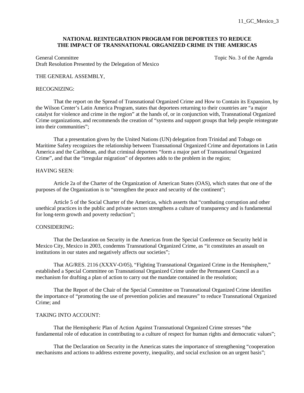# **NATIONAL REINTEGRATION PROGRAM FOR DEPORTEES TO REDUCE THE IMPACT OF TRANSNATIONAL ORGANIZED CRIME IN THE AMERICAS**

General Committee Topic No. 3 of the Agenda Committee Draft Resolution Presented by the Delegation of Mexico

## THE GENERAL ASSEMBLY,

#### RECOGNIZING:

 That the report on the Spread of Transnational Organized Crime and How to Contain its Expansion, by the Wilson Center's Latin America Program, states that deportees returning to their countries are "a major catalyst for violence and crime in the region" at the hands of, or in conjunction with, Transnational Organized Crime organizations, and recommends the creation of "systems and support groups that help people reintegrate into their communities";

That a presentation given by the United Nations (UN) delegation from Trinidad and Tobago on Maritime Safety recognizes the relationship between Transnational Organized Crime and deportations in Latin America and the Caribbean, and that criminal deportees "form a major part of Transnational Organized Crime", and that the "irregular migration" of deportees adds to the problem in the region;

# HAVING SEEN:

 Article 2a of the Charter of the Organization of American States (OAS), which states that one of the purposes of the Organization is to "strengthen the peace and security of the continent";

 Article 5 of the Social Charter of the Americas, which asserts that "combating corruption and other unethical practices in the public and private sectors strengthens a culture of transparency and is fundamental for long-term growth and poverty reduction";

## CONSIDERING:

That the Declaration on Security in the Americas from the Special Conference on Security held in Mexico City, Mexico in 2003, condemns Transnational Organized Crime, as "it constitutes an assault on institutions in our states and negatively affects our societies";

 That AG/RES. 2116 (XXXV-O/05), "Fighting Transnational Organized Crime in the Hemisphere," established a Special Committee on Transnational Organized Crime under the Permanent Council as a mechanism for drafting a plan of action to carry out the mandate contained in the resolution;

That the Report of the Chair of the Special Committee on Transnational Organized Crime identifies the importance of "promoting the use of prevention policies and measures" to reduce Transnational Organized Crime; and

# TAKING INTO ACCOUNT<sup>.</sup>

 That the Hemispheric Plan of Action Against Transnational Organized Crime stresses "the fundamental role of education in contributing to a culture of respect for human rights and democratic values";

 That the Declaration on Security in the Americas states the importance of strengthening "cooperation mechanisms and actions to address extreme poverty, inequality, and social exclusion on an urgent basis";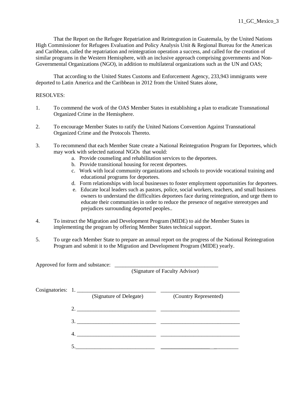That the Report on the Refugee Repatriation and Reintegration in Guatemala, by the United Nations High Commissioner for Refugees Evaluation and Policy Analysis Unit & Regional Bureau for the Americas and Caribbean, called the repatriation and reintegration operation a success, and called for the creation of similar programs in the Western Hemisphere, with an inclusive approach comprising governments and Non-Governmental Organizations (NGO), in addition to multilateral organizations such as the UN and OAS;

 That according to the United States Customs and Enforcement Agency, 233,943 immigrants were deported to Latin America and the Caribbean in 2012 from the United States alone,

# RESOLVES:

- 1. To commend the work of the OAS Member States in establishing a plan to eradicate Transnational Organized Crime in the Hemisphere.
- 2. To encourage Member States to ratify the United Nations Convention Against Transnational Organized Crime and the Protocols Thereto.
- 3. To recommend that each Member State create a National Reintegration Program for Deportees, which may work with selected national NGOs that would:
	- a. Provide counseling and rehabilitation services to the deportees.
	- b. Provide transitional housing for recent deportees.
	- c. Work with local community organizations and schools to provide vocational training and educational programs for deportees.
	- d. Form relationships with local businesses to foster employment opportunities for deportees.
	- e. Educate local leaders such as pastors, police, social workers, teachers, and small business owners to understand the difficulties deportees face during reintegration, and urge them to educate their communities in order to reduce the presence of negative stereotypes and prejudices surrounding deported peoples..
- 4. To instruct the Migration and Development Program (MIDE) to aid the Member States in implementing the program by offering Member States technical support.
- 5. To urge each Member State to prepare an annual report on the progress of the National Reintegration Program and submit it to the Migration and Development Program (MIDE) yearly.

3. \_\_\_\_\_\_\_\_\_\_\_\_\_\_\_\_\_\_\_\_\_\_\_\_\_\_\_\_\_ \_\_\_\_\_\_\_\_\_\_\_\_\_\_\_\_\_\_\_\_\_\_\_\_\_\_\_\_\_

4. \_\_\_\_\_\_\_\_\_\_\_\_\_\_\_\_\_\_\_\_\_\_\_\_\_\_\_\_\_ \_\_\_\_\_\_\_\_\_\_\_\_\_\_\_\_\_\_\_\_\_\_\_\_\_\_\_\_\_

5.\_\_\_\_\_\_\_\_\_\_\_\_\_\_\_\_\_\_\_\_\_\_\_\_\_\_\_\_\_ \_\_\_\_\_\_\_\_\_\_\_\_\_\_\_\_\_\_ \_\_\_\_\_\_\_\_\_

Approved for form and substance: (Signature of Faculty Advisor) Cosignatories: 1. \_\_\_\_\_\_\_\_\_\_\_\_\_\_\_\_\_\_\_\_\_\_\_\_\_\_\_\_\_ \_\_\_\_\_\_\_\_\_\_\_\_\_\_\_\_\_\_\_\_\_\_\_\_\_\_\_\_\_ (Signature of Delegate) (Country Represented) 2. \_\_\_\_\_\_\_\_\_\_\_\_\_\_\_\_\_\_\_\_\_\_\_\_\_\_\_\_\_ \_\_\_\_\_\_\_\_\_\_\_\_\_\_\_\_\_\_\_\_\_\_\_\_\_\_\_\_\_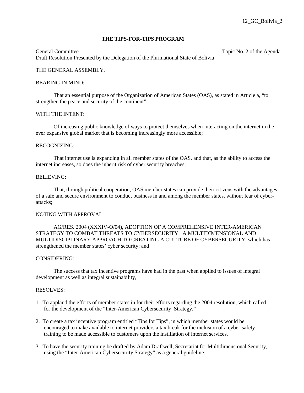## **THE TIPS-FOR-TIPS PROGRAM**

General Committee Topic No. 2 of the Agenda Topic No. 2 of the Agenda Draft Resolution Presented by the Delegation of the Plurinational State of Bolivia

## THE GENERAL ASSEMBLY,

#### BEARING IN MIND:

That an essential purpose of the Organization of American States (OAS), as stated in Article a, "to strengthen the peace and security of the continent";

## WITH THE INTENT:

Of increasing public knowledge of ways to protect themselves when interacting on the internet in the ever expansive global market that is becoming increasingly more accessible;

#### RECOGNIZING:

That internet use is expanding in all member states of the OAS, and that, as the ability to access the internet increases, so does the inherit risk of cyber security breaches;

#### BELIEVING:

That, through political cooperation, OAS member states can provide their citizens with the advantages of a safe and secure environment to conduct business in and among the member states, without fear of cyberattacks;

#### NOTING WITH APPROVAL:

AG/RES. 2004 (XXXIV-O/04), ADOPTION OF A COMPREHENSIVE INTER-AMERICAN STRATEGY TO COMBAT THREATS TO CYBERSECURITY: A MULTIDIMENSIONAL AND MULTIDISCIPLINARY APPROACH TO CREATING A CULTURE OF CYBERSECURITY, which has strengthened the member states' cyber security; and

#### CONSIDERING:

The success that tax incentive programs have had in the past when applied to issues of integral development as well as integral sustainability,

- 1. To applaud the efforts of member states in for their efforts regarding the 2004 resolution, which called for the development of the "Inter-American Cybersecurity Strategy."
- 2. To create a tax incentive program entitled "Tips for Tips", in which member states would be encouraged to make available to internet providers a tax break for the inclusion of a cyber-safety training to be made accessible to customers upon the instillation of internet services.
- 3. To have the security training be drafted by Adam Draftwell, Secretariat for Multidimensional Security, using the "Inter-American Cybersecurity Strategy" as a general guideline.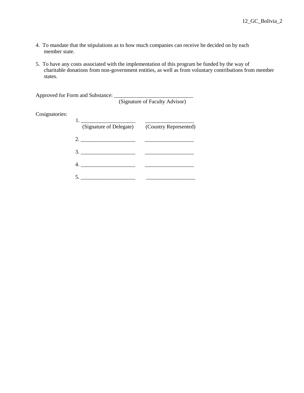- 4. To mandate that the stipulations as to how much companies can receive be decided on by each member state.
- 5. To have any costs associated with the implementation of this program be funded by the way of charitable donations from non-government entities, as well as from voluntary contributions from member states.

Approved for Form and Substance:

(Signature of Faculty Advisor)

# Cosignatories:

| $\omega$ signatories. |                                                                                                                                                                                                                                                                                                                                                                                                                                                                          |  |
|-----------------------|--------------------------------------------------------------------------------------------------------------------------------------------------------------------------------------------------------------------------------------------------------------------------------------------------------------------------------------------------------------------------------------------------------------------------------------------------------------------------|--|
|                       | (Signature of Delegate) (Country Represented)                                                                                                                                                                                                                                                                                                                                                                                                                            |  |
|                       | 2. $\overline{\phantom{a}}$ $\overline{\phantom{a}}$ $\overline{\phantom{a}}$ $\overline{\phantom{a}}$ $\overline{\phantom{a}}$ $\overline{\phantom{a}}$ $\overline{\phantom{a}}$ $\overline{\phantom{a}}$ $\overline{\phantom{a}}$ $\overline{\phantom{a}}$ $\overline{\phantom{a}}$ $\overline{\phantom{a}}$ $\overline{\phantom{a}}$ $\overline{\phantom{a}}$ $\overline{\phantom{a}}$ $\overline{\phantom{a}}$ $\overline{\phantom{a}}$ $\overline{\phantom{a}}$ $\$ |  |
|                       | 3.                                                                                                                                                                                                                                                                                                                                                                                                                                                                       |  |
|                       |                                                                                                                                                                                                                                                                                                                                                                                                                                                                          |  |
|                       |                                                                                                                                                                                                                                                                                                                                                                                                                                                                          |  |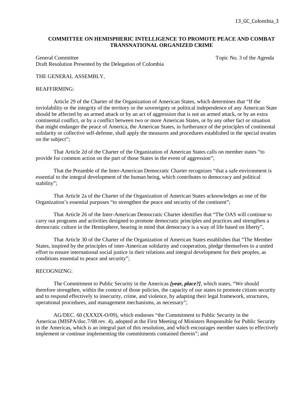# **COMMITTEE ON HEMISPHERIC INTELLIGENCE TO PROMOTE PEACE AND COMBAT TRANSNATIONAL ORGANIZED CRIME**

General Committee Topic No. 3 of the Agenda Draft Resolution Presented by the Delegation of Colombia

# THE GENERAL ASSEMBLY,

#### REAFFIRMING:

 Article 29 of the Charter of the Organization of American States, which determines that "If the inviolability or the integrity of the territory or the sovereignty or political independence of any American State should be affected by an armed attack or by an act of aggression that is not an armed attack, or by an extra continental conflict, or by a conflict between two or more American States, or by any other fact or situation that might endanger the peace of America, the American States, in furtherance of the principles of continental solidarity or collective self-defense, shall apply the measures and procedures established in the special treaties on the subject";

 That Article 2d of the Charter of the Organization of American States calls on member states "to provide for common action on the part of those States in the event of aggression";

 That the Preamble of the Inter-American Democratic Charter recognizes "that a safe environment is essential to the integral development of the human being, which contributes to democracy and political stability";

That Article 2a of the Charter of the Organization of American States acknowledges as one of the Organization's essential purposes "to strengthen the peace and security of the continent";

 That Article 26 of the Inter-American Democratic Charter identifies that "The OAS will continue to carry out programs and activities designed to promote democratic principles and practices and strengthen a democratic culture in the Hemisphere, bearing in mind that democracy is a way of life based on liberty",

 That Article 30 of the Charter of the Organization of American States establishes that "The Member States, inspired by the principles of inter-American solidarity and cooperation, pledge themselves to a united effort to ensure international social justice in their relations and integral development for their peoples, as conditions essential to peace and security";

# RECOGNIZNG:

 The Commitment to Public Security in the Americas *[year, place?]*, which states, "We should therefore strengthen, within the context of those policies, the capacity of our states to promote citizen security and to respond effectively to insecurity, crime, and violence, by adapting their legal framework, structures, operational procedures, and management mechanisms, as necessary";

 AG/DEC. 60 (XXXIX-O/09), which endorses "the Commitment to Public Security in the Americas (MISPA/doc.7/08 rev. 4), adopted at the First Meeting of Ministers Responsible for Public Security in the Americas, which is an integral part of this resolution, and which encourages member states to effectively implement or continue implementing the commitments contained therein"; and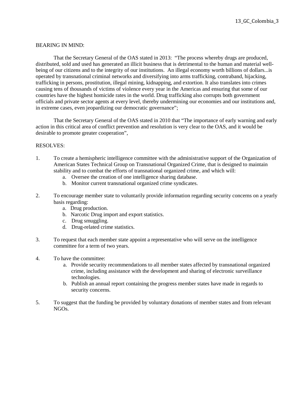# BEARING IN MIND:

 That the Secretary General of the OAS stated in 2013: "The process whereby drugs are produced, distributed, sold and used has generated an illicit business that is detrimental to the human and material wellbeing of our citizens and to the integrity of our institutions. An illegal economy worth billions of dollars...is operated by transnational criminal networks and diversifying into arms trafficking, contraband, hijacking, trafficking in persons, prostitution, illegal mining, kidnapping, and extortion. It also translates into crimes causing tens of thousands of victims of violence every year in the Americas and ensuring that some of our countries have the highest homicide rates in the world. Drug trafficking also corrupts both government officials and private sector agents at every level, thereby undermining our economies and our institutions and, in extreme cases, even jeopardizing our democratic governance";

 That the Secretary General of the OAS stated in 2010 that "The importance of early warning and early action in this critical area of conflict prevention and resolution is very clear to the OAS, and it would be desirable to promote greater cooperation",

- 1. To create a hemispheric intelligence committee with the administrative support of the Organization of American States Technical Group on Transnational Organized Crime, that is designed to maintain stability and to combat the efforts of transnational organized crime, and which will:
	- a. Oversee the creation of one intelligence sharing database.
	- b. Monitor current transnational organized crime syndicates.
- 2. To encourage member state to voluntarily provide information regarding security concerns on a yearly basis regarding:
	- a. Drug production.
	- b. Narcotic Drug import and export statistics.
	- c. Drug smuggling.
	- d. Drug-related crime statistics.
- 3. To request that each member state appoint a representative who will serve on the intelligence committee for a term of two years.
- 4. To have the committee:
	- a. Provide security recommendations to all member states affected by transnational organized crime, including assistance with the development and sharing of electronic surveillance technologies.
	- b. Publish an annual report containing the progress member states have made in regards to security concerns.
- 5. To suggest that the funding be provided by voluntary donations of member states and from relevant NGOs.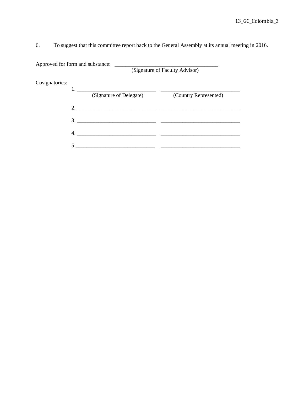6. To suggest that this committee report back to the General Assembly at its annual meeting in 2016.

Approved for form and substance: \_\_\_\_\_\_\_\_\_\_\_\_\_\_\_\_\_\_\_\_\_\_\_\_\_\_\_\_\_\_\_\_\_\_\_\_\_\_

(Signature of Faculty Advisor)

Cosignatories:

| ັ | (Signature of Delegate)                                                                                                                                                                                                       | (Country Represented) |
|---|-------------------------------------------------------------------------------------------------------------------------------------------------------------------------------------------------------------------------------|-----------------------|
|   | 2.                                                                                                                                                                                                                            |                       |
|   |                                                                                                                                                                                                                               |                       |
|   | the control of the control of the control of the control of the control of the control of the control of the control of the control of the control of the control of the control of the control of the control of the control |                       |
|   |                                                                                                                                                                                                                               |                       |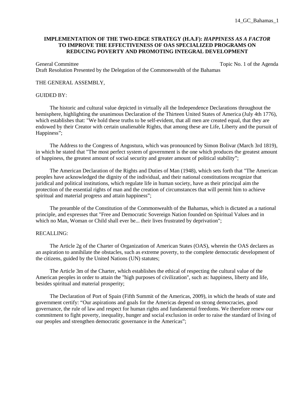# **IMPLEMENTATION OF THE TWO-EDGE STRATEGY (H.A.F):** *HAPPINESS AS A FACTOR*  **TO IMPROVE THE EFFECTIVENESS OF OAS SPECIALIZED PROGRAMS ON REDUCING POVERTY AND PROMOTING INTEGRAL DEVELOPMENT**

General Committee Topic No. 1 of the Agenda Draft Resolution Presented by the Delegation of the Commonwealth of the Bahamas

#### THE GENERAL ASSEMBLY,

#### GUIDED BY:

 The historic and cultural value depicted in virtually all the Independence Declarations throughout the hemisphere, highlighting the unanimous Declaration of the Thirteen United States of America (July 4th 1776), which establishes that: "We hold these truths to be self-evident, that all men are created equal, that they are endowed by their Creator with certain unalienable Rights, that among these are Life, Liberty and the pursuit of Happiness";

 The Address to the Congress of Angostura, which was pronounced by Simon Bolivar (March 3rd 1819), in which he stated that "The most perfect system of government is the one which produces the greatest amount of happiness, the greatest amount of social security and greater amount of political stability";

 The American Declaration of the Rights and Duties of Man (1948), which sets forth that "The American peoples have acknowledged the dignity of the individual, and their national constitutions recognize that juridical and political institutions, which regulate life in human society, have as their principal aim the protection of the essential rights of man and the creation of circumstances that will permit him to achieve spiritual and material progress and attain happiness";

 The preamble of the Constitution of the Commonwealth of the Bahamas, which is dictated as a national principle, and expresses that "Free and Democratic Sovereign Nation founded on Spiritual Values and in which no Man, Woman or Child shall ever be... their lives frustrated by deprivation";

# RECALLING:

 The Article 2g of the Charter of Organization of American States (OAS), wherein the OAS declares as an aspiration to annihilate the obstacles, such as extreme poverty, to the complete democratic development of the citizens, guided by the United Nations (UN) statutes;

 The Article 3m of the Charter, which establishes the ethical of respecting the cultural value of the American peoples in order to attain the "high purposes of civilization", such as: happiness, liberty and life, besides spiritual and material prosperity;

 The Declaration of Port of Spain (Fifth Summit of the Americas, 2009), in which the heads of state and government certify: "Our aspirations and goals for the Americas depend on strong democracies, good governance, the rule of law and respect for human rights and fundamental freedoms. We therefore renew our commitment to fight poverty, inequality, hunger and social exclusion in order to raise the standard of living of our peoples and strengthen democratic governance in the Americas";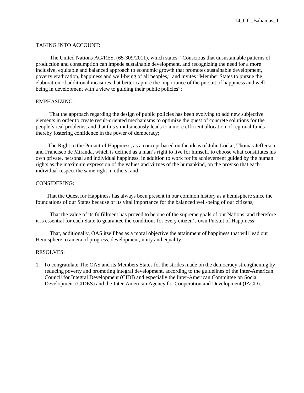# TAKING INTO ACCOUNT:

 The United Nations AG/RES. (65-309/2011), which states: "Conscious that unsustainable patterns of production and consumption can impede sustainable development, and recognizing the need for a more inclusive, equitable and balanced approach to economic growth that promotes sustainable development, poverty eradication, happiness and well-being of all peoples," and invites "Member States to pursue the elaboration of additional measures that better capture the importance of the pursuit of happiness and wellbeing in development with a view to guiding their public policies";

# EMPHASIZING:

 That the approach regarding the design of public policies has been evolving to add new subjective elements in order to create result-oriented mechanisms to optimize the quest of concrete solutions for the people´s real problems, and that this simultaneously leads to a more efficient allocation of regional funds thereby fostering confidence in the power of democracy;

 The Right to the Pursuit of Happiness, as a concept based on the ideas of John Locke, Thomas Jefferson and Francisco de Miranda, which is defined as a man's right to live for himself, to choose what constitutes his own private, personal and individual happiness, in addition to work for its achievement guided by the human rights as the maximum expression of the values and virtues of the humankind, on the proviso that each individual respect the same right in others; and

# CONSIDERING:

 That the Quest for Happiness has always been present in our common history as a hemisphere since the foundations of our States because of its vital importance for the balanced well-being of our citizens;

 That the value of its fulfillment has proved to be one of the supreme goals of our Nations, and therefore it is essential for each State to guarantee the conditions for every citizen's own Pursuit of Happiness;

 That, additionally, OAS itself has as a moral objective the attainment of happiness that will lead our Hemisphere to an era of progress, development, unity and equality,

#### RESOLVES:

1. To congratulate The OAS and its Members States for the strides made on the democracy strengthening by reducing poverty and promoting integral development, according to the guidelines of the Inter-American Council for Integral Development (CIDI) and especially the Inter-American Committee on Social Development (CIDES) and the Inter-American Agency for Cooperation and Development (IACD).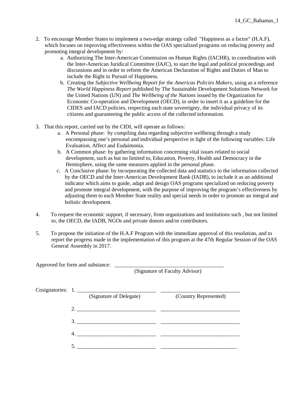- 2. To encourage Member States to implement a two-edge strategy called "Happiness as a factor" (H.A.F), which focuses on improving effectiveness within the OAS specialized programs on reducing poverty and promoting integral development by:
	- a. Authorizing The Inter-American Commission on Human Rights (IACHR), in coordination with the Inter-American Juridical Committee (IAJC), to start the legal and political proceedings and discussions and in order to reform the American Declaration of Rights and Duties of Man to include the Right to Pursuit of Happiness.
	- b. Creating the *Subjective Wellbeing Report for the Americas Policies Makers*, using as a reference *The World Happiness Report* published by The Sustainable Development Solutions Network for the United Nations (UN) and *The Wellbeing of the Nations* issued by the Organization for Economic Co-operation and Development (OECD), in order to insert it as a guideline for the CIDES and IACD policies, respecting each state sovereignty, the individual privacy of its citizens and guaranteeing the public access of the collected information.
- 3. That this report, carried out by the CIDI, will operate as follows:
	- a. A Personal phase: by compiling data regarding subjective wellbeing through a study encompassing one's personal and individual perspective in light of the following variables: Life Evaluation, Affect and Eudaimonia.
	- b. A Common phase: by gathering information concerning vital issues related to social development, such as but no limited to, Education, Poverty, Health and Democracy in the Hemisphere, using the same measures applied in the personal phase.
	- c. A Conclusive phase: by incorporating the collected data and statistics to the information collected by the OECD and the Inter-American Development Bank (IADB), to include it as an additional indicator which aims to guide, adapt and design OAS programs specialized on reducing poverty and promote integral development, with the purpose of improving the program's effectiveness by adjusting them to each Member State reality and special needs in order to promote an integral and holistic development.
- 4. To request the economic support, if necessary, from organizations and institutions such , but not limited to, the OECD, the IADB, NGOs and private donors and/or contributors.
- 5. To propose the initiation of the H.A.F Program with the immediate approval of this resolution, and to report the progress made in the implementation of this program at the 47th Regular Session of the OAS General Assembly in 2017.

| Approved for form and substance:                          | (Signature of Faculty Advisor) |
|-----------------------------------------------------------|--------------------------------|
| Cosignatories: 1.<br>(Signature of Delegate)              | (Country Represented)          |
| 2.                                                        |                                |
| 3.                                                        |                                |
| <u> 1980 - John Stone, Amerikaansk politiker († 1901)</u> |                                |
|                                                           |                                |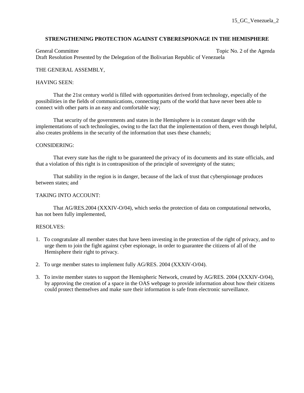# **STRENGTHENING PROTECTION AGAINST CYBERESPIONAGE IN THE HEMISPHERE**

General Committee Topic No. 2 of the Agenda Draft Resolution Presented by the Delegation of the Bolivarian Republic of Venezuela

## THE GENERAL ASSEMBLY,

## HAVING SEEN:

 That the 21st century world is filled with opportunities derived from technology, especially of the possibilities in the fields of communications, connecting parts of the world that have never been able to connect with other parts in an easy and comfortable way;

 That security of the governments and states in the Hemisphere is in constant danger with the implementations of such technologies, owing to the fact that the implementation of them, even though helpful, also creates problems in the security of the information that uses these channels;

#### CONSIDERING:

 That every state has the right to be guaranteed the privacy of its documents and its state officials, and that a violation of this right is in contraposition of the principle of sovereignty of the states;

 That stability in the region is in danger, because of the lack of trust that cyberspionage produces between states; and

## TAKING INTO ACCOUNT:

 That AG/RES.2004 (XXXIV-O/04), which seeks the protection of data on computational networks, has not been fully implemented,

- 1. To congratulate all member states that have been investing in the protection of the right of privacy, and to urge them to join the fight against cyber espionage, in order to guarantee the citizens of all of the Hemisphere their right to privacy.
- 2. To urge member states to implement fully AG/RES. 2004 (XXXIV-O/04).
- 3. To invite member states to support the Hemispheric Network, created by AG/RES. 2004 (XXXIV-O/04), by approving the creation of a space in the OAS webpage to provide information about how their citizens could protect themselves and make sure their information is safe from electronic surveillance.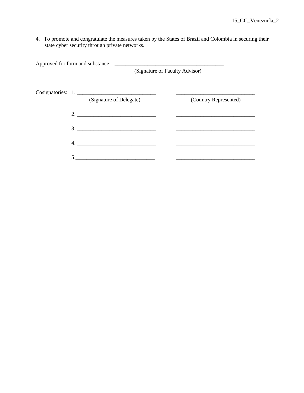4. To promote and congratulate the measures taken by the States of Brazil and Colombia in securing their state cyber security through private networks.

| (Signature of Faculty Advisor) |                               |  |                       |
|--------------------------------|-------------------------------|--|-----------------------|
|                                | Cosignatories: 1.             |  |                       |
|                                | (Signature of Delegate)       |  | (Country Represented) |
|                                | $2. \underline{\hspace{2cm}}$ |  |                       |
|                                |                               |  |                       |
|                                | 4.                            |  |                       |
| 5.                             |                               |  |                       |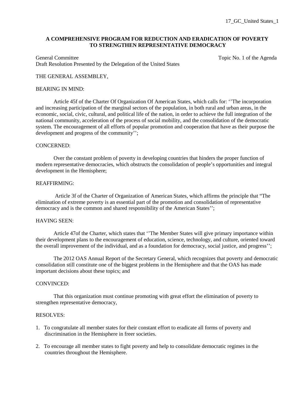# **A COMPREHENSIVE PROGRAM FOR REDUCTION AND ERADICATION OF POVERTY TO STRENGTHEN REPRESENTATIVE DEMOCRACY**

General Committee Topic No. 1 of the Agenda Committee Draft Resolution Presented by the Delegation of the United States

# THE GENERAL ASSEMBLEY,

#### BEARING IN MIND:

Article 45f of the Charter Of Organization Of American States, which calls for: ''The incorporation and increasing participation of the marginal sectors of the population, in both rural and urban areas, in the economic, social, civic, cultural, and political life of the nation, in order to achieve the full integration of the national community, acceleration of the process of social mobility, and the consolidation of the democratic system. The encouragement of all efforts of popular promotion and cooperation that have as their purpose the development and progress of the community'';

#### CONCERNED:

 Over the constant problem of poverty in developing countries that hinders the proper function of modern representative democracies, which obstructs the consolidation of people's opportunities and integral development in the Hemisphere;

#### REAFFIRMING:

 Article 3f of the Charter of Organization of American States, which affirms the principle that "The elimination of extreme poverty is an essential part of the promotion and consolidation of representative democracy and is the common and shared responsibility of the American States'';

## HAVING SEEN:

 Article 47of the Charter, which states that ''The Member States will give primary importance within their development plans to the encouragement of education, science, technology, and culture, oriented toward the overall improvement of the individual, and as a foundation for democracy, social justice, and progress'';

 The 2012 OAS Annual Report of the Secretary General, which recognizes that poverty and democratic consolidation still constitute one of the biggest problems in the Hemisphere and that the OAS has made important decisions about these topics; and

#### CONVINCED:

 That this organization must continue promoting with great effort the elimination of poverty to strengthen representative democracy,

- 1. To congratulate all member states for their constant effort to eradicate all forms of poverty and discrimination in the Hemisphere in freer societies.
- 2. To encourage all member states to fight poverty and help to consolidate democratic regimes in the countries throughout the Hemisphere.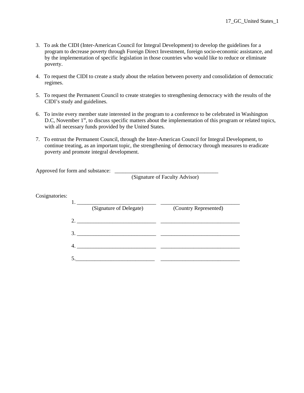- 3. To ask the CIDI (Inter-American Council for Integral Development) to develop the guidelines for a program to decrease poverty through Foreign Direct Investment, foreign socio-economic assistance, and by the implementation of specific legislation in those countries who would like to reduce or eliminate poverty.
- 4. To request the CIDI to create a study about the relation between poverty and consolidation of democratic regimes.
- 5. To request the Permanent Council to create strategies to strengthening democracy with the results of the CIDI's study and guidelines.
- 6. To invite every member state interested in the program to a conference to be celebrated in Washington D.C, November 1<sup>st</sup>, to discuss specific matters about the implementation of this program or related topics, with all necessary funds provided by the United States.
- 7. To entrust the Permanent Council, through the Inter-American Council for Integral Development, to continue treating, as an important topic, the strengthening of democracy through measures to eradicate poverty and promote integral development.

Approved for form and substance: \_\_\_\_\_\_\_\_\_\_\_\_\_\_\_\_\_\_\_\_\_\_\_\_\_\_\_\_\_\_\_\_\_\_\_\_\_\_

(Signature of Faculty Advisor)

Cosignatories:

|    | (Signature of Delegate) | (Country Represented) |
|----|-------------------------|-----------------------|
|    |                         |                       |
| 2. |                         |                       |
| 3. |                         |                       |
|    |                         |                       |
|    |                         |                       |
|    |                         |                       |
|    |                         |                       |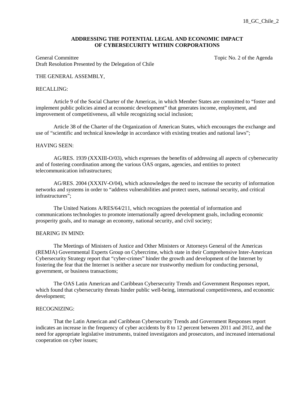## **ADDRESSING THE POTENTIAL LEGAL AND ECONOMIC IMPACT OF CYBERSECURITY WITHIN CORPORATIONS**

General Committee Topic No. 2 of the Agenda Draft Resolution Presented by the Delegation of Chile

## THE GENERAL ASSEMBLY,

#### RECALLING:

 Article 9 of the Social Charter of the Americas, in which Member States are committed to "foster and implement public policies aimed at economic development" that generates income, employment, and improvement of competitiveness, all while recognizing social inclusion;

 Article 38 of the Charter of the Organization of American States, which encourages the exchange and use of "scientific and technical knowledge in accordance with existing treaties and national laws";

#### HAVING SEEN:

 AG/RES. 1939 (XXXIII-O/03), which expresses the benefits of addressing all aspects of cybersecurity and of fostering coordination among the various OAS organs, agencies, and entities to protect telecommunication infrastructures;

 AG/RES. 2004 (XXXIV-O/04), which acknowledges the need to increase the security of information networks and systems in order to "address vulnerabilities and protect users, national security, and critical infrastructures";

 The United Nations A/RES/64/211, which recognizes the potential of information and communications technologies to promote internationally agreed development goals, including economic prosperity goals, and to manage an economy, national security, and civil society;

#### BEARING IN MIND:

 The Meetings of Ministers of Justice and Other Ministers or Attorneys General of the Americas (REMJA) Governmental Experts Group on Cybercrime, which state in their Comprehensive Inter-American Cybersecurity Strategy report that "cyber-crimes" hinder the growth and development of the Internet by fostering the fear that the Internet is neither a secure nor trustworthy medium for conducting personal, government, or business transactions;

 The OAS Latin American and Caribbean Cybersecurity Trends and Government Responses report, which found that cybersecurity threats hinder public well-being, international competitiveness, and economic development;

# RECOGNIZING:

 That the Latin American and Caribbean Cybersecurity Trends and Government Responses report indicates an increase in the frequency of cyber accidents by 8 to 12 percent between 2011 and 2012, and the need for appropriate legislative instruments, trained investigators and prosecutors, and increased international cooperation on cyber issues;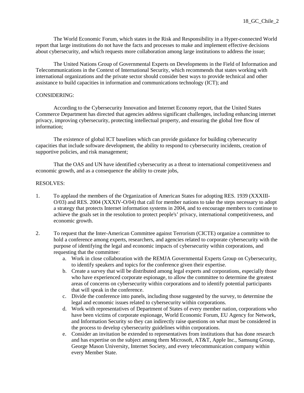The World Economic Forum, which states in the Risk and Responsibility in a Hyper-connected World report that large institutions do not have the facts and processes to make and implement effective decisions about cybersecurity, and which requests more collaboration among large institutions to address the issue;

The United Nations Group of Governmental Experts on Developments in the Field of Information and Telecommunications in the Context of International Security, which recommends that states working with international organizations and the private sector should consider best ways to provide technical and other assistance to build capacities in information and communications technology (ICT); and

# CONSIDERING:

 According to the Cybersecurity Innovation and Internet Economy report, that the United States Commerce Department has directed that agencies address significant challenges, including enhancing internet privacy, improving cybersecurity, protecting intellectual property, and ensuring the global free flow of information;

 The existence of global ICT baselines which can provide guidance for building cybersecurity capacities that include software development, the ability to respond to cybersecurity incidents, creation of supportive policies, and risk management;

 That the OAS and UN have identified cybersecurity as a threat to international competitiveness and economic growth, and as a consequence the ability to create jobs,

- 1. To applaud the members of the Organization of American States for adopting RES. 1939 (XXXIII-O/03) and RES. 2004 (XXXIV-O/04) that call for member nations to take the steps necessary to adopt a strategy that protects Internet information systems in 2004, and to encourage members to continue to achieve the goals set in the resolution to protect people's' privacy, international competitiveness, and economic growth.
- 2. To request that the Inter-American Committee against Terrorism (CICTE) organize a committee to hold a conference among experts, researchers, and agencies related to corporate cybersecurity with the purpose of identifying the legal and economic impacts of cybersecurity within corporations, and requesting that the committee:
	- a. Work in close collaboration with the REMJA Governmental Experts Group on Cybersecurity, to identify speakers and topics for the conference given their expertise.
	- b. Create a survey that will be distributed among legal experts and corporations, especially those who have experienced corporate espionage, to allow the committee to determine the greatest areas of concerns on cybersecurity within corporations and to identify potential participants that will speak in the conference.
	- c. Divide the conference into panels, including those suggested by the survey, to determine the legal and economic issues related to cybersecurity within corporations.
	- d. Work with representatives of Department of States of every member nation, corporations who have been victims of corporate espionage, World Economic Forum, EU Agency for Network, and Information Security so they can indirectly raise questions on what must be considered in the process to develop cybersecurity guidelines within corporations.
	- e. Consider an invitation be extended to representatives from institutions that has done research and has expertise on the subject among them Microsoft, AT&T, Apple Inc., Samsung Group, George Mason University, Internet Society, and every telecommunication company within every Member State.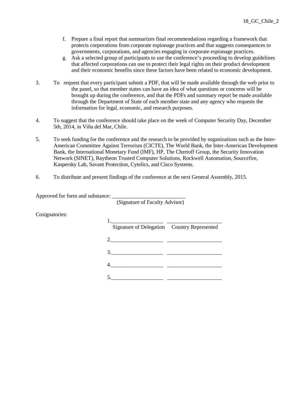- f. Prepare a final report that summarizes final recommendations regarding a framework that protects corporations from corporate espionage practices and that suggests consequences to governments, corporations, and agencies engaging in corporate espionage practices.
- g. Ask a selected group of participants to use the conference's proceeding to develop guidelines that affected corporations can use to protect their legal rights on their product development and their economic benefits since these factors have been related to economic development.
- 3. To request that every participant submit a PDF, that will be made available through the web prior to the panel, so that member states can have an idea of what questions or concerns will be brought up during the conference, and that the PDFs and summary report be made available through the Department of State of each member state and any agency who requests the information for legal, economic, and research purposes.
- 4. To suggest that the conference should take place on the week of Computer Security Day, December 5th, 2014, in Viña del Mar, Chile.
- 5. To seek funding for the conference and the research to be provided by organizations such as the Inter-American Committee Against Terrorism (CICTE), The World Bank, the Inter-American Development Bank, the International Monetary Fund (IMF), HP, The Chertoff Group, the Security Innovation Network (SINET), Raytheon Trusted Computer Solutions, Rockwell Automation, Sourcefire, Kaspersky Lab, Savant Protection, Cytelics, and Cisco Systems.
- 6. To distribute and present findings of the conference at the next General Assembly, 2015.

Approved for form and substance:

(Signature of Faculty Advisor)

Cosignatories:

|               | Signature of Delegation Country Represented |
|---------------|---------------------------------------------|
|               |                                             |
| $3.$ $\qquad$ |                                             |
|               |                                             |
|               |                                             |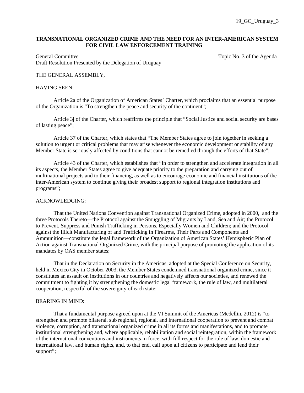# **TRANSNATIONAL ORGANIZED CRIME AND THE NEED FOR AN INTER-AMERICAN SYSTEM FOR CIVIL LAW ENFORCEMENT TRAINING**

General Committee Topic No. 3 of the Agenda Draft Resolution Presented by the Delegation of Uruguay

# THE GENERAL ASSEMBLY,

#### HAVING SEEN:

Article 2a of the Organization of American States' Charter, which proclaims that an essential purpose of the Organization is "To strengthen the peace and security of the continent";

Article 3j of the Charter, which reaffirms the principle that "Social Justice and social security are bases of lasting peace";

Article 37 of the Charter, which states that "The Member States agree to join together in seeking a solution to urgent or critical problems that may arise whenever the economic development or stability of any Member State is seriously affected by conditions that cannot be remedied through the efforts of that State";

Article 43 of the Charter, which establishes that "In order to strengthen and accelerate integration in all its aspects, the Member States agree to give adequate priority to the preparation and carrying out of multinational projects and to their financing, as well as to encourage economic and financial institutions of the inter-American system to continue giving their broadest support to regional integration institutions and programs";

#### ACKNOWLEDGING:

That the United Nations Convention against Transnational Organized Crime, adopted in 2000, and the three Protocols Thereto—the Protocol against the Smuggling of Migrants by Land, Sea and Air; the Protocol to Prevent, Suppress and Punish Trafficking in Persons, Especially Women and Children; and the Protocol against the Illicit Manufacturing of and Trafficking in Firearms, Their Parts and Components and Ammunition—constitute the legal framework of the Organization of American States' Hemispheric Plan of Action against Transnational Organized Crime, with the principal purpose of promoting the application of its mandates by OAS member states;

That in the Declaration on Security in the Americas, adopted at the Special Conference on Security, held in Mexico City in October 2003, the Member States condemned transnational organized crime, since it constitutes an assault on institutions in our countries and negatively affects our societies, and renewed the commitment to fighting it by strengthening the domestic legal framework, the rule of law, and multilateral cooperation, respectful of the sovereignty of each state;

## BEARING IN MIND:

 That a fundamental purpose agreed upon at the VI Summit of the Americas (Medellin, 2012) is "to strengthen and promote bilateral, sub regional, regional, and international cooperation to prevent and combat violence, corruption, and transnational organized crime in all its forms and manifestations, and to promote institutional strengthening and, where applicable, rehabilitation and social reintegration, within the framework of the international conventions and instruments in force, with full respect for the rule of law, domestic and international law, and human rights, and, to that end, call upon all citizens to participate and lend their support";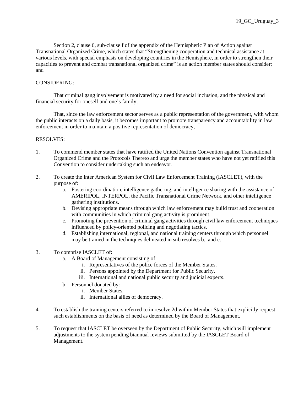Section 2, clause 6, sub-clause f of the appendix of the Hemispheric Plan of Action against Transnational Organized Crime, which states that "Strengthening cooperation and technical assistance at various levels, with special emphasis on developing countries in the Hemisphere, in order to strengthen their capacities to prevent and combat transnational organized crime" is an action member states should consider; and

# CONSIDERING:

 That criminal gang involvement is motivated by a need for social inclusion, and the physical and financial security for oneself and one's family;

 That, since the law enforcement sector serves as a public representation of the government, with whom the public interacts on a daily basis, it becomes important to promote transparency and accountability in law enforcement in order to maintain a positive representation of democracy,

- 1. To commend member states that have ratified the United Nations Convention against Transnational Organized Crime and the Protocols Thereto and urge the member states who have not yet ratified this Convention to consider undertaking such an endeavor.
- 2. To create the Inter American System for Civil Law Enforcement Training (IASCLET), with the purpose of:
	- a. Fostering coordination, intelligence gathering, and intelligence sharing with the assistance of AMERIPOL, INTERPOL, the Pacific Transnational Crime Network, and other intelligence gathering institutions.
	- b. Devising appropriate means through which law enforcement may build trust and cooperation with communities in which criminal gang activity is prominent.
	- c. Promoting the prevention of criminal gang activities through civil law enforcement techniques influenced by policy-oriented policing and negotiating tactics.
	- d. Establishing international, regional, and national training centers through which personnel may be trained in the techniques delineated in sub resolves b., and c.
- 3. To comprise IASCLET of:
	- a. A Board of Management consisting of:
		- i. Representatives of the police forces of the Member States.
		- ii. Persons appointed by the Department for Public Security.
		- iii. International and national public security and judicial experts.
	- b. Personnel donated by:
		- i. Member States.
		- ii. International allies of democracy.
- 4. To establish the training centers referred to in resolve 2d within Member States that explicitly request such establishments on the basis of need as determined by the Board of Management.
- 5. To request that IASCLET be overseen by the Department of Public Security, which will implement adjustments to the system pending biannual reviews submitted by the IASCLET Board of Management.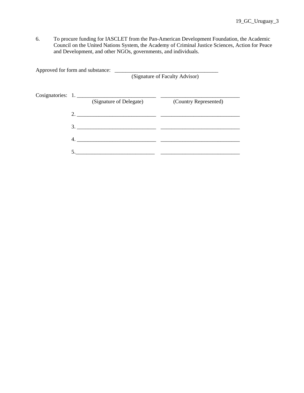6. To procure funding for IASCLET from the Pan-American Development Foundation, the Academic Council on the United Nations System, the Academy of Criminal Justice Sciences, Action for Peace and Development, and other NGOs, governments, and individuals.

| Approved for form and substance: |                         | (Signature of Faculty Advisor) |
|----------------------------------|-------------------------|--------------------------------|
| Cosignatories: 1.                | (Signature of Delegate) | (Country Represented)          |
|                                  |                         |                                |
|                                  |                         |                                |
| 4.                               |                         |                                |
|                                  |                         |                                |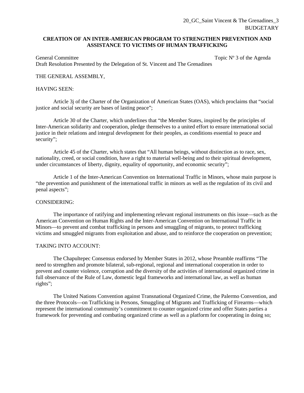# **CREATION OF AN INTER-AMERICAN PROGRAM TO STRENGTHEN PREVENTION AND ASSISTANCE TO VICTIMS OF HUMAN TRAFFICKING**

General Committee Topic N° 3 of the Agenda Draft Resolution Presented by the Delegation of St. Vincent and The Grenadines

# THE GENERAL ASSEMBLY,

## HAVING SEEN:

Article 3j of the Charter of the Organization of American States (OAS), which proclaims that "social justice and social security are bases of lasting peace";

Article 30 of the Charter, which underlines that "the Member States, inspired by the principles of Inter-American solidarity and cooperation, pledge themselves to a united effort to ensure international social justice in their relations and integral development for their peoples, as conditions essential to peace and security";

Article 45 of the Charter, which states that "All human beings, without distinction as to race, sex, nationality, creed, or social condition, have a right to material well-being and to their spiritual development, under circumstances of liberty, dignity, equality of opportunity, and economic security";

Article 1 of the Inter-American Convention on International Traffic in Minors, whose main purpose is "the prevention and punishment of the international traffic in minors as well as the regulation of its civil and penal aspects";

#### CONSIDERING:

The importance of ratifying and implementing relevant regional instruments on this issue—such as the American Convention on Human Rights and the Inter-American Convention on International Traffic in Minors—to prevent and combat trafficking in persons and smuggling of migrants, to protect trafficking victims and smuggled migrants from exploitation and abuse, and to reinforce the cooperation on prevention;

## TAKING INTO ACCOUNT:

The Chapultepec Consensus endorsed by Member States in 2012, whose Preamble reaffirms "The need to strengthen and promote bilateral, sub-regional, regional and international cooperation in order to prevent and counter violence, corruption and the diversity of the activities of international organized crime in full observance of the Rule of Law, domestic legal frameworks and international law, as well as human rights";

The United Nations Convention against Transnational Organized Crime, the Palermo Convention, and the three Protocols—on Trafficking in Persons, Smuggling of Migrants and Trafficking of Firearms—which represent the international community's commitment to counter organized crime and offer States parties a framework for preventing and combating organized crime as well as a platform for cooperating in doing so;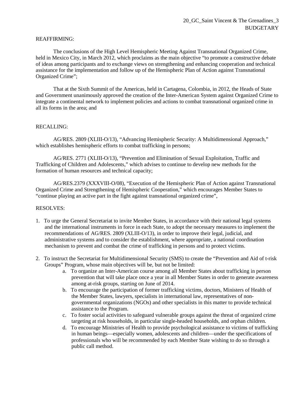# REAFFIRMING:

The conclusions of the High Level Hemispheric Meeting Against Transnational Organized Crime, held in Mexico City, in March 2012, which proclaims as the main objective "to promote a constructive debate of ideas among participants and to exchange views on strengthening and enhancing cooperation and technical assistance for the implementation and follow up of the Hemispheric Plan of Action against Transnational Organized Crime";

That at the Sixth Summit of the Americas, held in Cartagena, Colombia, in 2012, the Heads of State and Government unanimously approved the creation of the Inter-American System against Organized Crime to integrate a continental network to implement policies and actions to combat transnational organized crime in all its forms in the area; and

# RECALLING:

AG/RES. 2809 (XLIII-O/13), "Advancing Hemispheric Security: A Multidimensional Approach," which establishes hemispheric efforts to combat trafficking in persons;

AG/RES. 2771 (XLIII-O/13), "Prevention and Elimination of Sexual Exploitation, Traffic and Trafficking of Children and Adolescents," which advises to continue to develop new methods for the formation of human resources and technical capacity;

AG/RES.2379 (XXXVIII-O/08), "Execution of the Hemispheric Plan of Action against Transnational Organized Crime and Strengthening of Hemispheric Cooperation," which encourages Member States to "continue playing an active part in the fight against transnational organized crime",

- 1. To urge the General Secretariat to invite Member States, in accordance with their national legal systems and the international instruments in force in each State, to adopt the necessary measures to implement the recommendations of AG/RES. 2809 (XLIII-O/13), in order to improve their legal, judicial, and administrative systems and to consider the establishment, where appropriate, a national coordination mechanism to prevent and combat the crime of trafficking in persons and to protect victims.
- 2. To instruct the Secretariat for Multidimensional Security (SMS) to create the "Prevention and Aid of t-risk Groups" Program, whose main objectives will be, but not be limited:
	- a. To organize an Inter-American course among all Member States about trafficking in person prevention that will take place once a year in all Member States in order to generate awareness among at-risk groups, starting on June of 2014.
	- b. To encourage the participation of former trafficking victims, doctors, Ministers of Health of the Member States, lawyers, specialists in international law, representatives of nongovernmental organizations (NGOs) and other specialists in this matter to provide technical assistance to the Program.
	- c. To foster social activities to safeguard vulnerable groups against the threat of organized crime targeting at risk households, in particular single-headed households, and orphan children.
	- d. To encourage Ministries of Health to provide psychological assistance to victims of trafficking in human beings—especially women, adolescents and children—under the specifications of professionals who will be recommended by each Member State wishing to do so through a public call method.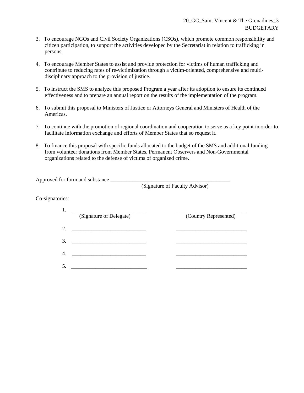- 3. To encourage NGOs and Civil Society Organizations (CSOs), which promote common responsibility and citizen participation, to support the activities developed by the Secretariat in relation to trafficking in persons.
- 4. To encourage Member States to assist and provide protection for victims of human trafficking and contribute to reducing rates of re-victimization through a victim-oriented, comprehensive and multidisciplinary approach to the provision of justice.
- 5. To instruct the SMS to analyze this proposed Program a year after its adoption to ensure its continued effectiveness and to prepare an annual report on the results of the implementation of the program.
- 6. To submit this proposal to Ministers of Justice or Attorneys General and Ministers of Health of the Americas.
- 7. To continue with the promotion of regional coordination and cooperation to serve as a key point in order to facilitate information exchange and efforts of Member States that so request it.
- 8. To finance this proposal with specific funds allocated to the budget of the SMS and additional funding from volunteer donations from Member States, Permanent Observers and Non-Governmental organizations related to the defense of victims of organized crime.

Approved for form and substance

(Signature of Faculty Advisor)

Co-signatories:

|               | (Signature of Delegate) | (Country Represented) |
|---------------|-------------------------|-----------------------|
| $\mathcal{D}$ |                         |                       |
|               |                         |                       |
|               |                         |                       |
|               |                         |                       |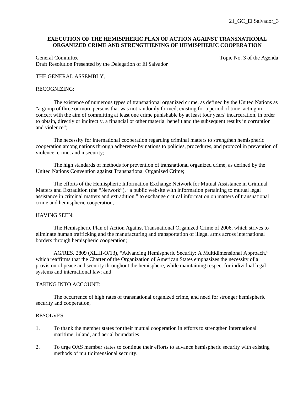# **EXECUTION OF THE HEMISPHERIC PLAN OF ACTION AGAINST TRANSNATIONAL ORGANIZED CRIME AND STRENGTHENING OF HEMISPHERIC COOPERATION**

General Committee Topic No. 3 of the Agenda Draft Resolution Presented by the Delegation of El Salvador

## THE GENERAL ASSEMBLY,

#### RECOGNIZING:

 The existence of numerous types of transnational organized crime, as defined by the United Nations as "a group of three or more persons that was not randomly formed, existing for a period of time, acting in concert with the aim of committing at least one crime punishable by at least four years' incarceration, in order to obtain, directly or indirectly, a financial or other material benefit and the subsequent results in corruption and violence";

 The necessity for international cooperation regarding criminal matters to strengthen hemispheric cooperation among nations through adherence by nations to policies, procedures, and protocol in prevention of violence, crime, and insecurity;

The high standards of methods for prevention of transnational organized crime, as defined by the United Nations Convention against Transnational Organized Crime;

 The efforts of the Hemispheric Information Exchange Network for Mutual Assistance in Criminal Matters and Extradition (the "Network"), "a public website with information pertaining to mutual legal assistance in criminal matters and extradition," to exchange critical information on matters of transnational crime and hemispheric cooperation,

## HAVING SEEN:

 The Hemispheric Plan of Action Against Transnational Organized Crime of 2006, which strives to eliminate human trafficking and the manufacturing and transportation of illegal arms across international borders through hemispheric cooperation;

AG/RES. 2809 (XLIII-O/13), "Advancing Hemispheric Security: A Multidimensional Approach," which reaffirms that the Charter of the Organization of American States emphasizes the necessity of a provision of peace and security throughout the hemisphere, while maintaining respect for individual legal systems and international law; and

# TAKING INTO ACCOUNT:

 The occurrence of high rates of transnational organized crime, and need for stronger hemispheric security and cooperation,

- 1. To thank the member states for their mutual cooperation in efforts to strengthen international maritime, inland, and aerial boundaries.
- 2. To urge OAS member states to continue their efforts to advance hemispheric security with existing methods of multidimensional security.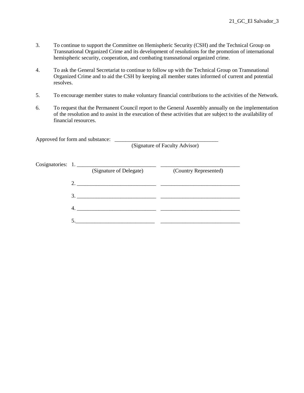- 3. To continue to support the Committee on Hemispheric Security (CSH) and the Technical Group on Transnational Organized Crime and its development of resolutions for the promotion of international hemispheric security, cooperation, and combating transnational organized crime.
- 4. To ask the General Secretariat to continue to follow up with the Technical Group on Transnational Organized Crime and to aid the CSH by keeping all member states informed of current and potential resolves.
- 5. To encourage member states to make voluntary financial contributions to the activities of the Network.
- 6. To request that the Permanent Council report to the General Assembly annually on the implementation of the resolution and to assist in the execution of these activities that are subject to the availability of financial resources.

Approved for form and substance: \_\_\_\_\_\_\_\_\_\_\_\_\_\_\_\_\_\_\_\_\_\_\_\_\_\_\_\_\_\_\_\_\_\_\_\_\_\_

(Signature of Faculty Advisor)

|    | (Signature of Delegate) | (Country Represented) |
|----|-------------------------|-----------------------|
|    |                         |                       |
| 3. |                         |                       |
|    |                         |                       |
|    |                         |                       |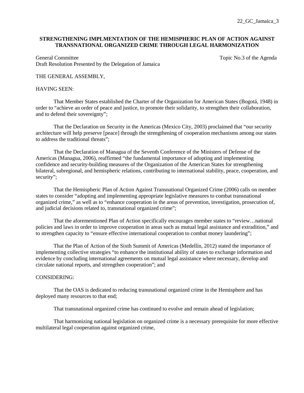# **STRENGTHENING IMPLMENTATION OF THE HEMISPHERIC PLAN OF ACTION AGAINST TRANSNATIONAL ORGANIZED CRIME THROUGH LEGAL HARMONIZATION**

General Committee Topic No.3 of the Agenda Topic No.3 of the Agenda Draft Resolution Presented by the Delegation of Jamaica

# THE GENERAL ASSEMBLY,

## HAVING SEEN:

 That Member States established the Charter of the Organization for American States (Bogotá, 1948) in order to "achieve an order of peace and justice, to promote their solidarity, to strengthen their collaboration, and to defend their sovereignty";

That the Declaration on Security in the Americas (Mexico City, 2003) proclaimed that "our security architecture will help preserve [peace] through the strengthening of cooperation mechanisms among our states to address the traditional threats";

That the Declaration of Managua of the Seventh Conference of the Ministers of Defense of the Americas (Managua, 2006), reaffirmed "the fundamental importance of adopting and implementing confidence and security-building measures of the Organization of the American States for strengthening bilateral, subregional, and hemispheric relations, contributing to international stability, peace, cooperation, and security";

That the Hemispheric Plan of Action Against Transnational Organized Crime (2006) calls on member states to consider "adopting and implementing appropriate legislative measures to combat transnational organized crime," as well as to "enhance cooperation in the areas of prevention, investigation, prosecution of, and judicial decisions related to, transnational organized crime";

That the aforementioned Plan of Action specifically encourages member states to "review…national policies and laws in order to improve cooperation in areas such as mutual legal assistance and extradition," and to strengthen capacity to "ensure effective international cooperation to combat money laundering";

That the Plan of Action of the Sixth Summit of Americas (Medellín, 2012) stated the importance of implementing collective strategies "to enhance the institutional ability of states to exchange information and evidence by concluding international agreements on mutual legal assistance where necessary, develop and circulate national reports, and strengthen cooperation"; and

#### CONSIDERING:

That the OAS is dedicated to reducing transnational organized crime in the Hemisphere and has deployed many resources to that end;

That transnational organized crime has continued to evolve and remain ahead of legislation;

That harmonizing national legislation on organized crime is a necessary prerequisite for more effective multilateral legal cooperation against organized crime,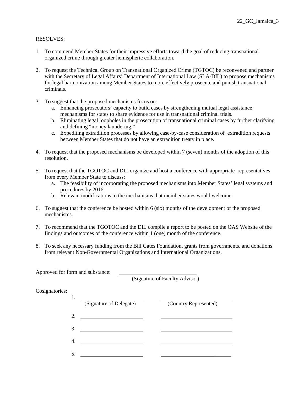# RESOLVES:

- 1. To commend Member States for their impressive efforts toward the goal of reducing transnational organized crime through greater hemispheric collaboration.
- 2. To request the Technical Group on Transnational Organized Crime (TGTOC) be reconvened and partner with the Secretary of Legal Affairs' Department of International Law (SLA-DIL) to propose mechanisms for legal harmonization among Member States to more effectively prosecute and punish transnational criminals.
- 3. To suggest that the proposed mechanisms focus on:
	- a. Enhancing prosecutors' capacity to build cases by strengthening mutual legal assistance mechanisms for states to share evidence for use in transnational criminal trials.
	- b. Eliminating legal loopholes in the prosecution of transnational criminal cases by further clarifying and defining "money laundering."
	- c. Expediting extradition processes by allowing case-by-case consideration of extradition requests between Member States that do not have an extradition treaty in place.
- 4. To request that the proposed mechanisms be developed within 7 (seven) months of the adoption of this resolution.
- 5. To request that the TGOTOC and DIL organize and host a conference with appropriate representatives from every Member State to discuss:
	- a. The feasibility of incorporating the proposed mechanisms into Member States' legal systems and procedures by 2016.
	- b. Relevant modifications to the mechanisms that member states would welcome.
- 6. To suggest that the conference be hosted within 6 (six) months of the development of the proposed mechanisms.
- 7. To recommend that the TGOTOC and the DIL compile a report to be posted on the OAS Website of the findings and outcomes of the conference within 1 (one) month of the conference.
- 8. To seek any necessary funding from the Bill Gates Foundation, grants from governments, and donations from relevant Non-Governmental Organizations and International Organizations.

Approved for form and substance:

(Signature of Faculty Advisor)

| Cosignatories: |
|----------------|
|----------------|

|    | (Signature of Delegate) | (Country Represented) |
|----|-------------------------|-----------------------|
| 2. |                         |                       |
| 3. |                         |                       |
|    |                         |                       |
|    |                         |                       |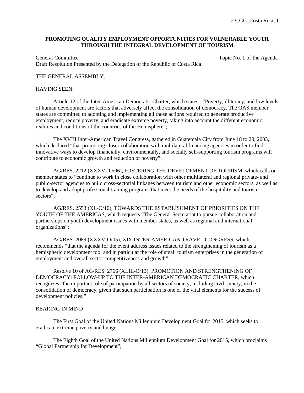# **PROMOTING QUALITY EMPLOYMENT OPPORTUNITIES FOR VULNERABLE YOUTH THROUGH THE INTEGRAL DEVELOPMENT OF TOURISM**

General Committee Topic No. 1 of the Agenda Draft Resolution Presented by the Delegation of the Republic of Costa Rica

# THE GENERAL ASSEMBLY,

## HAVING SEEN:

 Article 12 of the Inter-American Democratic Charter, which states: "Poverty, illiteracy, and low levels of human development are factors that adversely affect the consolidation of democracy. The OAS member states are committed to adopting and implementing all those actions required to generate productive employment, reduce poverty, and eradicate extreme poverty, taking into account the different economic realities and conditions of the countries of the Hemisphere";

 The XVIII Inter-American Travel Congress, gathered in Guatemala City from June 18 to 20, 2003, which declared "that promoting closer collaboration with multilateral financing agencies in order to find innovative ways to develop financially, environmentally, and socially self-supporting tourism programs will contribute to economic growth and reduction of poverty";

 AG/RES. 2212 (XXXVI-O/06), FOSTERING THE DEVELOPMENT OF TOURISM, which calls on member states to "continue to work in close collaboration with other multilateral and regional private- and public-sector agencies to build cross-sectorial linkages between tourism and other economic sectors, as well as to develop and adopt professional training programs that meet the needs of the hospitality and tourism sectors";

 AG/RES. 2553 (XL-O/10), TOWARDS THE ESTABLISHMENT OF PRIORITIES ON THE YOUTH OF THE AMERICAS, which requests "The General Secretariat to pursue collaboration and partnerships on youth development issues with member states, as well as regional and international organizations";

 AG/RES. 2089 (XXXV-O/05), XIX INTER-AMERICAN TRAVEL CONGRESS, which recommends "that the agenda for the event address issues related to the strengthening of tourism as a hemispheric development tool and in particular the role of small tourism enterprises in the generation of employment and overall sector competitiveness and growth";

 Resolve 10 of AG/RES. 2766 (XLIII-O/13), PROMOTION AND STRENGTHENING OF DEMOCRACY: FOLLOW-UP TO THE INTER-AMERICAN DEMOCRATIC CHARTER, which recognizes "the important role of participation by all sectors of society, including civil society, in the consolidation of democracy, given that such participation is one of the vital elements for the success of development policies;"

# BEARING IN MIND

 The First Goal of the United Nations Millennium Development Goal for 2015, which seeks to eradicate extreme poverty and hunger;

 The Eighth Goal of the United Nations Millennium Development Goal for 2015, which proclaims "Global Partnership for Development";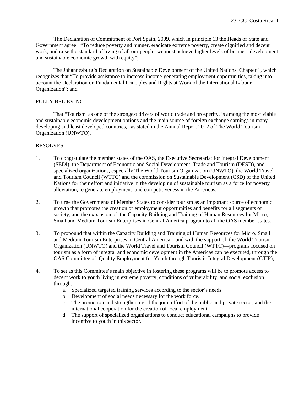The Declaration of Commitment of Port Spain, 2009, which in principle 13 the Heads of State and Government agree: "To reduce poverty and hunger, eradicate extreme poverty, create dignified and decent work, and raise the standard of living of all our people, we must achieve higher levels of business development and sustainable economic growth with equity";

 The Johannesburg's Declaration on Sustainable Development of the United Nations, Chapter 1, which recognizes that "To provide assistance to increase income-generating employment opportunities, taking into account the Declaration on Fundamental Principles and Rights at Work of the International Labour Organization"; and

# FULLY BELIEVING

 That "Tourism, as one of the strongest drivers of world trade and prosperity, is among the most viable and sustainable economic development options and the main source of foreign exchange earnings in many developing and least developed countries," as stated in the Annual Report 2012 of The World Tourism Organization (UNWTO),

- 1. To congratulate the member states of the OAS, the Executive Secretariat for Integral Development (SEDI), the Department of Economic and Social Development, Trade and Tourism (DESD), and specialized organizations, especially The World Tourism Organization (UNWTO), the World Travel and Tourism Council (WTTC) and the commission on Sustainable Development (CSD) of the United Nations for their effort and initiative in the developing of sustainable tourism as a force for poverty alleviation, to generate employment and competitiveness in the Americas.
- 2. To urge the Governments of Member States to consider tourism as an important source of economic growth that promotes the creation of employment opportunities and benefits for all segments of society, and the expansion of the Capacity Building and Training of Human Resources for Micro, Small and Medium Tourism Enterprises in Central America program to all the OAS member states.
- 3. To propound that within the Capacity Building and Training of Human Resources for Micro, Small and Medium Tourism Enterprises in Central America—and with the support of the World Tourism Organization (UNWTO) and the World Travel and Tourism Council (WTTC)—programs focused on tourism as a form of integral and economic development in the Americas can be executed, through the OAS Committee of Quality Employment for Youth through Touristic Integral Development (CTIP),
- 4. To set as this Committee's main objective in fostering these programs will be to promote access to decent work to youth living in extreme poverty, conditions of vulnerability, and social exclusion through:
	- a. Specialized targeted training services according to the sector's needs.
	- b. Development of social needs necessary for the work force.
	- c. The promotion and strengthening of the joint effort of the public and private sector, and the international cooperation for the creation of local employment.
	- d. The support of specialized organizations to conduct educational campaigns to provide incentive to youth in this sector.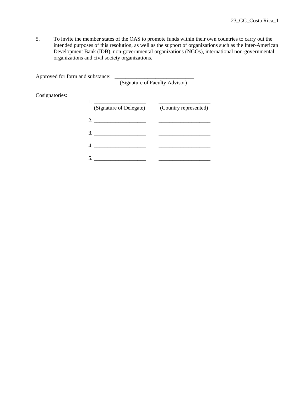5. To invite the member states of the OAS to promote funds within their own countries to carry out the intended purposes of this resolution, as well as the support of organizations such as the Inter-American Development Bank (IDB), non-governmental organizations (NGOs), international non-governmental organizations and civil society organizations.

| Approved for form and substance: |                                                                                                   |                                |
|----------------------------------|---------------------------------------------------------------------------------------------------|--------------------------------|
|                                  |                                                                                                   | (Signature of Faculty Advisor) |
| Cosignatories:                   |                                                                                                   |                                |
|                                  | <u> 1980 - Andrea Andrew Maria III (m. 1950)</u><br>(Signature of Delegate) (Country represented) |                                |
|                                  |                                                                                                   |                                |
|                                  | $3.$ $\qquad \qquad$                                                                              |                                |
|                                  | 4.                                                                                                |                                |
|                                  |                                                                                                   |                                |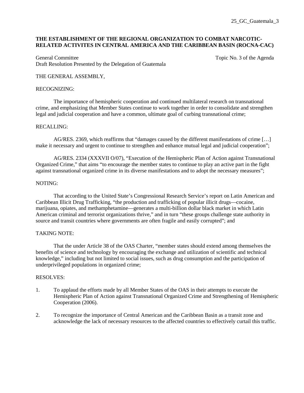# **THE ESTABLISHMENT OF THE REGIONAL ORGANIZATION TO COMBAT NARCOTIC-RELATED ACTIVITES IN CENTRAL AMERICA AND THE CARIBBEAN BASIN (ROCNA-CAC)**

General Committee Topic No. 3 of the Agenda Committee Topic No. 3 of the Agenda Draft Resolution Presented by the Delegation of Guatemala

# THE GENERAL ASSEMBLY,

## RECOGNIZING:

 The importance of hemispheric cooperation and continued multilateral research on transnational crime, and emphasizing that Member States continue to work together in order to consolidate and strengthen legal and judicial cooperation and have a common, ultimate goal of curbing transnational crime;

# RECALLING:

 AG/RES. 2369, which reaffirms that "damages caused by the different manifestations of crime […] make it necessary and urgent to continue to strengthen and enhance mutual legal and judicial cooperation";

AG/RES. 2334 (XXXVII O/07), "Execution of the Hemispheric Plan of Action against Transnational Organized Crime," that aims "to encourage the member states to continue to play an active part in the fight against transnational organized crime in its diverse manifestations and to adopt the necessary measures";

# NOTING:

 That according to the United State's Congressional Research Service's report on Latin American and Caribbean Illicit Drug Trafficking, "the production and trafficking of popular illicit drugs—cocaine, marijuana, opiates, and methamphetamine—generates a multi-billion dollar black market in which Latin American criminal and terrorist organizations thrive," and in turn "these groups challenge state authority in source and transit countries where governments are often fragile and easily corrupted"; and

# TAKING NOTE:

 That the under Article 38 of the OAS Charter, "member states should extend among themselves the benefits of science and technology by encouraging the exchange and utilization of scientific and technical knowledge," including but not limited to social issues, such as drug consumption and the participation of underprivileged populations in organized crime;

- 1. To applaud the efforts made by all Member States of the OAS in their attempts to execute the Hemispheric Plan of Action against Transnational Organized Crime and Strengthening of Hemispheric Cooperation (2006).
- 2. To recognize the importance of Central American and the Caribbean Basin as a transit zone and acknowledge the lack of necessary resources to the affected countries to effectively curtail this traffic.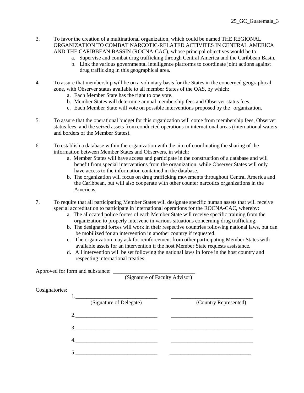- 3. To favor the creation of a multinational organization, which could be named THE REGIONAL ORGANIZATION TO COMBAT NARCOTIC-RELATED ACTIVITES IN CENTRAL AMERICA AND THE CARIBBEAN BASSIN (ROCNA-CAC), whose principal objectives would be to:
	- a. Supervise and combat drug trafficking through Central America and the Caribbean Basin.
	- b. Link the various governmental intelligence platforms to coordinate joint actions against drug trafficking in this geographical area.
- 4. To assure that membership will be on a voluntary basis for the States in the concerned geographical zone, with Observer status available to all member States of the OAS, by which:
	- a. Each Member State has the right to one vote.
	- b. Member States will determine annual membership fees and Observer status fees.
	- c. Each Member State will vote on possible interventions proposed by the organization.
- 5. To assure that the operational budget for this organization will come from membership fees, Observer status fees, and the seized assets from conducted operations in international areas (international waters and borders of the Member States).
- 6. To establish a database within the organization with the aim of coordinating the sharing of the information between Member States and Observers, in which:
	- a. Member States will have access and participate in the construction of a database and will benefit from special interventions from the organization, while Observer States will only have access to the information contained in the database.
	- b. The organization will focus on drug trafficking movements throughout Central America and the Caribbean, but will also cooperate with other counter narcotics organizations in the Americas.
- 7. To require that all participating Member States will designate specific human assets that will receive special accreditation to participate in international operations for the ROCNA-CAC, whereby:
	- a. The allocated police forces of each Member State will receive specific training from the organization to properly intervene in various situations concerning drug trafficking.
	- b. The designated forces will work in their respective countries following national laws, but can be mobilized for an intervention in another country if requested.
	- c. The organization may ask for reinforcement from other participating Member States with available assets for an intervention if the host Member State requests assistance.
	- d. All intervention will be set following the national laws in force in the host country and respecting international treaties.

Approved for form and substance:

(Signature of Faculty Advisor)

| Cosignatories: |                         |                       |
|----------------|-------------------------|-----------------------|
|                | (Signature of Delegate) | (Country Represented) |
|                | 2.                      |                       |
|                | 3.                      |                       |
|                | 4.                      |                       |
|                |                         |                       |
|                |                         |                       |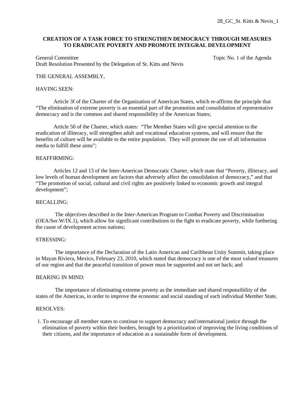# **CREATION OF A TASK FORCE TO STRENGTHEN DEMOCRACY THROUGH MEASURES TO ERADICATE POVERTY AND PROMOTE INTEGRAL DEVELOPMENT**

General Committee Topic No. 1 of the Agenda Committee Draft Resolution Presented by the Delegation of St. Kitts and Nevis

# THE GENERAL ASSEMBLY,

# HAVING SEEN:

Article 3f of the Charter of the Organization of American States, which re-affirms the principle that "The elimination of extreme poverty is an essential part of the promotion and consolidation of representative democracy and is the common and shared responsibility of the American States;

Article 50 of the Charter, which states: "The Member States will give special attention to the eradication of illiteracy, will strengthen adult and vocational education systems, and will ensure that the benefits of culture will be available to the entire population. They will promote the use of all information media to fulfill these aims";

# REAFFIRMING:

Articles 12 and 13 of the Inter-American Democratic Charter, which state that "Poverty, illiteracy, and low levels of human development are factors that adversely affect the consolidation of democracy," and that "The promotion of social, cultural and civil rights are positively linked to economic growth and integral development";

# RECALLING:

 The objectives described in the Inter-American Program to Combat Poverty and Discrimination (OEA/Ser.W/IX.1), which allow for significant contributions to the fight to eradicate poverty, while furthering the cause of development across nations;

#### STRESSING:

 The importance of the Declaration of the Latin American and Caribbean Unity Summit, taking place in Mayan Riviera, Mexico, February 23, 2010, which stated that democracy is one of the most valued treasures of our region and that the peaceful transition of power must be supported and not set back; and

# BEARING IN MIND:

 The importance of eliminating extreme poverty as the immediate and shared responsibility of the states of the Americas, in order to improve the economic and social standing of each individual Member State,

# RESOLVES:

1. To encourage all member states to continue to support democracy and international justice through the elimination of poverty within their borders, brought by a prioritization of improving the living conditions of their citizens, and the importance of education as a sustainable form of development.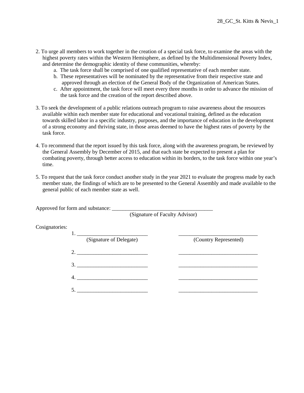- 2. To urge all members to work together in the creation of a special task force, to examine the areas with the highest poverty rates within the Western Hemisphere, as defined by the Multidimensional Poverty Index, and determine the demographic identity of these communities, whereby:
	- a. The task force shall be comprised of one qualified representative of each member state.
	- b. These representatives will be nominated by the representative from their respective state and approved through an election of the General Body of the Organization of American States.
	- c. After appointment, the task force will meet every three months in order to advance the mission of the task force and the creation of the report described above.
- 3. To seek the development of a public relations outreach program to raise awareness about the resources available within each member state for educational and vocational training, defined as the education towards skilled labor in a specific industry, purposes, and the importance of education in the development of a strong economy and thriving state, in those areas deemed to have the highest rates of poverty by the task force.
- 4. To recommend that the report issued by this task force, along with the awareness program, be reviewed by the General Assembly by December of 2015, and that each state be expected to present a plan for combating poverty, through better access to education within its borders, to the task force within one year's time.
- 5. To request that the task force conduct another study in the year 2021 to evaluate the progress made by each member state, the findings of which are to be presented to the General Assembly and made available to the general public of each member state as well.

|                | (Signature of Faculty Advisor) |                       |  |
|----------------|--------------------------------|-----------------------|--|
| Cosignatories: |                                |                       |  |
|                | (Signature of Delegate)        | (Country Represented) |  |
|                | 2.                             |                       |  |
| 3.             |                                |                       |  |
| 4.             |                                |                       |  |
| $\overline{5}$ |                                |                       |  |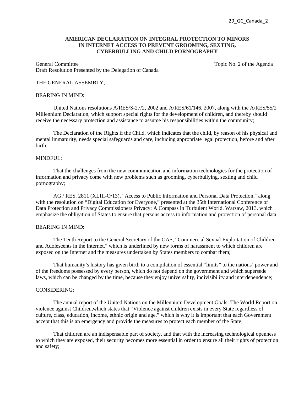## **AMERICAN DECLARATION ON INTEGRAL PROTECTION TO MINORS IN INTERNET ACCESS TO PREVENT GROOMING, SEXTING, CYBERBULLING AND CHILD PORNOGRAPHY**

General Committee Topic No. 2 of the Agenda Draft Resolution Presented by the Delegation of Canada

#### THE GENERAL ASSEMBLY,

### BEARING IN MIND:

United Nations resolutions A/RES/S-27/2, 2002 and A/RES/61/146, 2007, along with the A/RES/55/2 Millennium Declaration, which support special rights for the development of children, and thereby should receive the necessary protection and assistance to assume his responsibilities within the community;

The Declaration of the Rights if the Child, which indicates that the child, by reason of his physical and mental immaturity, needs special safeguards and care, including appropriate legal protection, before and after birth;

# MINDFUL:

That the challenges from the new communication and information technologies for the protection of information and privacy come with new problems such as grooming, cyberbullying, sexting and child pornography;

AG / RES. 2811 (XLIII-O/13), "Access to Public Information and Personal Data Protection," along with the resolution on "Digital Education for Everyone," presented at the 35th International Conference of Data Protection and Privacy Commissioners Privacy: A Compass in Turbulent World. Warsaw, 2013, which emphasize the obligation of States to ensure that persons access to information and protection of personal data;

# BEARING IN MIND:

The Tenth Report to the General Secretary of the OAS, "Commercial Sexual Exploitation of Children and Adolescents in the Internet," which is underlined by new forms of harassment to which children are exposed on the Internet and the measures undertaken by States members to combat them;

That humanity's history has given birth to a compilation of essential "limits" to the nations' power and of the freedoms possessed by every person, which do not depend on the government and which supersede laws, which can be changed by the time, because they enjoy universality, indivisibility and interdependence;

# CONSIDERING:

The annual report of the United Nations on the Millennium Development Goals: The World Report on violence against Children,which states that "Violence against children exists in every State regardless of culture, class, education, income, ethnic origin and age," which is why it is important that each Government accept that this is an emergency and provide the measures to protect each member of the State;

That children are an indispensable part of society, and that with the increasing technological openness to which they are exposed, their security becomes more essential in order to ensure all their rights of protection and safety;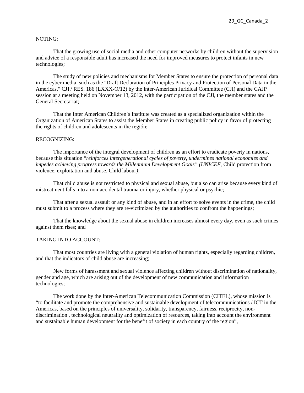## NOTING:

That the growing use of social media and other computer networks by children without the supervision and advice of a responsible adult has increased the need for improved measures to protect infants in new technologies;

The study of new policies and mechanisms for Member States to ensure the protection of personal data in the cyber media, such as the "Draft Declaration of Principles Privacy and Protection of Personal Data in the Americas," CJI / RES. 186 (LXXX-O/12) by the Inter-American Juridical Committee (CJI) and the CAJP session at a meeting held on November 13, 2012, with the participation of the CJI, the member states and the General Secretariat;

That the Inter American Children´s Institute was created as a specialized organization within the Organization of American States to assist the Member States in creating public policy in favor of protecting the rights of children and adolescents in the región;

# RECOGNIZING:

The importance of the integral development of children as an effort to eradicate poverty in nations, because this situation "*reinforces intergenerational cycles of poverty, undermines national economies and impedes achieving progress towards the Millennium Development Goals" (UNICEF,* Child protection from violence, exploitation and abuse, Child labour*)*;

That child abuse is not restricted to physical and sexual abuse, but also can arise because every kind of mistreatment falls into a non-accidental trauma or injury, whether physical or psychic;

That after a sexual assault or any kind of abuse, and in an effort to solve events in the crime, the child must submit to a process where they are re-victimized by the authorities to confront the happenings;

That the knowledge about the sexual abuse in children increases almost every day, even as such crimes against them rises; and

#### TAKING INTO ACCOUNT:

That most countries are living with a general violation of human rights, especially regarding children, and that the indicators of child abuse are increasing;

New forms of harassment and sexual violence affecting children without discrimination of nationality, gender and age, which are arising out of the development of new communication and information technologies;

The work done by the Inter-American Telecommunication Commission (CITEL), whose mission is "to facilitate and promote the comprehensive and sustainable development of telecommunications / ICT in the Americas, based on the principles of universality, solidarity, transparency, fairness, reciprocity, nondiscrimination , technological neutrality and optimization of resources, taking into account the environment and sustainable human development for the benefit of society in each country of the region",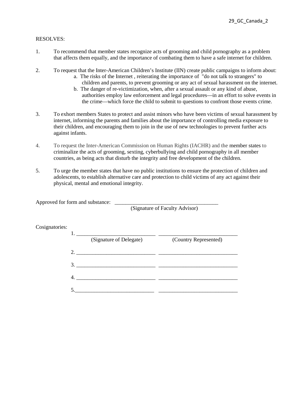# RESOLVES:

- 1. To recommend that member states recognize acts of grooming and child pornography as a problem that affects them equally, and the importance of combating them to have a safe internet for children.
- 2. To request that the Inter-American Children's Institute (IIN) create public campaigns to inform about:
	- a. The risks of the Internet , reiterating the importance of "do not talk to strangers" to children and parents, to prevent grooming or any act of sexual harassment on the internet.
	- b. The danger of re-victimization, when, after a sexual assault or any kind of abuse, authorities employ law enforcement and legal procedures—in an effort to solve events in the crime—which force the child to submit to questions to confront those events crime.
- 3. To exhort members States to protect and assist minors who have been victims of sexual harassment by internet, informing the parents and families about the importance of controlling media exposure to their children, and encouraging them to join in the use of new technologies to prevent further acts against infants.
- 4. To request the Inter-American Commission on Human Rights (IACHR) and the member states to criminalize the acts of grooming, sexting, cyberbullying and child pornography in all member countries, as being acts that disturb the integrity and free development of the children.
- 5. To urge the member states that have no public institutions to ensure the protection of children and adolescents, to establish alternative care and protection to child victims of any act against their physical, mental and emotional integrity.

Approved for form and substance: \_\_\_\_\_\_\_\_\_\_\_\_\_\_\_\_\_\_\_\_\_\_\_\_\_\_\_\_\_\_\_\_\_\_\_\_\_\_

(Signature of Faculty Advisor)

| Cosignatories: |    |                         |                       |
|----------------|----|-------------------------|-----------------------|
|                |    | (Signature of Delegate) | (Country Represented) |
|                |    |                         |                       |
|                |    | 3.                      |                       |
|                | 4. |                         |                       |
|                |    |                         |                       |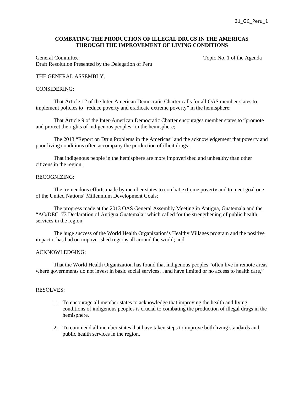# **COMBATING THE PRODUCTION OF ILLEGAL DRUGS IN THE AMERICAS THROUGH THE IMPROVEMENT OF LIVING CONDITIONS**

General Committee Topic No. 1 of the Agenda Draft Resolution Presented by the Delegation of Peru

# THE GENERAL ASSEMBLY,

#### CONSIDERING:

 That Article 12 of the Inter-American Democratic Charter calls for all OAS member states to implement policies to "reduce poverty and eradicate extreme poverty" in the hemisphere;

 That Article 9 of the Inter-American Democratic Charter encourages member states to "promote and protect the rights of indigenous peoples" in the hemisphere;

 The 2013 "Report on Drug Problems in the Americas" and the acknowledgement that poverty and poor living conditions often accompany the production of illicit drugs;

 That indigenous people in the hemisphere are more impoverished and unhealthy than other citizens in the region;

#### RECOGNIZING:

The tremendous efforts made by member states to combat extreme poverty and to meet goal one of the United Nations' Millennium Development Goals;

 The progress made at the 2013 OAS General Assembly Meeting in Antigua, Guatemala and the "AG/DEC. 73 Declaration of Antigua Guatemala" which called for the strengthening of public health services in the region;

The huge success of the World Health Organization's Healthy Villages program and the positive impact it has had on impoverished regions all around the world; and

## ACKNOWLEDGING:

 That the World Health Organization has found that indigenous peoples "often live in remote areas where governments do not invest in basic social services...and have limited or no access to health care,"

- 1. To encourage all member states to acknowledge that improving the health and living conditions of indigenous peoples is crucial to combating the production of illegal drugs in the hemisphere.
- 2. To commend all member states that have taken steps to improve both living standards and public health services in the region.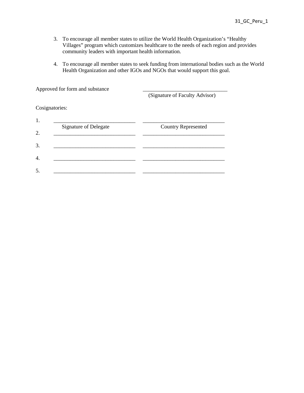- 3. To encourage all member states to utilize the World Health Organization's "Healthy Villages" program which customizes healthcare to the needs of each region and provides community leaders with important health information.
- 4. To encourage all member states to seek funding from international bodies such as the World Health Organization and other IGOs and NGOs that would support this goal.

Approved for form and substance

(Signature of Faculty Advisor)

Cosignatories:

| <b>Signature of Delegate</b> | <b>Country Represented</b> |
|------------------------------|----------------------------|
|                              |                            |
|                              |                            |
|                              |                            |
|                              |                            |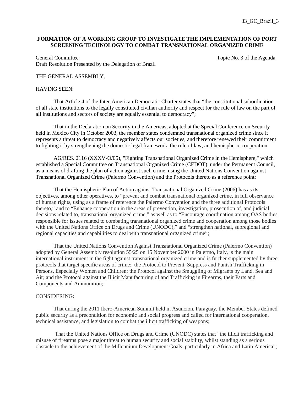# **FORMATION OF A WORKING GROUP TO INVESTIGATE THE IMPLEMENTATION OF PORT SCREENING TECHNOLOGY TO COMBAT TRANSNATIONAL ORGANIZED CRIME**

General Committee Topic No. 3 of the Agenda Draft Resolution Presented by the Delegation of Brazil

# THE GENERAL ASSEMBLY,

## HAVING SEEN:

 That Article 4 of the Inter-American Democratic Charter states that "the constitutional subordination of all state institutions to the legally constituted civilian authority and respect for the rule of law on the part of all institutions and sectors of society are equally essential to democracy";

 That in the Declaration on Security in the Americas, adopted at the Special Conference on Security held in Mexico City in October 2003, the member states condemned transnational organized crime since it represents a threat to democracy and negatively affects our societies, and therefore renewed their commitment to fighting it by strengthening the domestic legal framework, the rule of law, and hemispheric cooperation;

AG/RES. 2116 (XXXV-O/05), "Fighting Transnational Organized Crime in the Hemisphere," which established a Special Committee on Transnational Organized Crime (CEDOT), under the Permanent Council, as a means of drafting the plan of action against such crime, using the United Nations Convention against Transnational Organized Crime (Palermo Convention) and the Protocols thereto as a reference point;

 That the Hemispheric Plan of Action against Transnational Organized Crime (2006) has as its objectives, among other operatives, to "prevent and combat transnational organized crime, in full observance of human rights, using as a frame of reference the Palermo Convention and the three additional Protocols thereto," and to "Enhance cooperation in the areas of prevention, investigation, prosecution of, and judicial decisions related to, transnational organized crime," as well as to "Encourage coordination among OAS bodies responsible for issues related to combating transnational organized crime and cooperation among those bodies with the United Nations Office on Drugs and Crime (UNODC)," and "strengthen national, subregional and regional capacities and capabilities to deal with transnational organized crime";

 That the United Nations Convention Against Transnational Organized Crime (Palermo Convention) adopted by General Assembly resolution 55/25 on 15 November 2000 in Palermo, Italy, is the main international instrument in the fight against transnational organized crime and is further supplemented by three protocols that target specific areas of crime: the Protocol to Prevent, Suppress and Punish Trafficking in Persons, Especially Women and Children; the Protocol against the Smuggling of Migrants by Land, Sea and Air; and the Protocol against the Illicit Manufacturing of and Trafficking in Firearms, their Parts and Components and Ammunition;

#### CONSIDERING:

 That during the 2011 Ibero-American Summit held in Asuncion, Paraguay, the Member States defined public security as a precondition for economic and social progress and called for international cooperation, technical assistance, and legislation to combat the illicit trafficking of weapons;

 That the United Nations Office on Drugs and Crime (UNODC) states that "the illicit trafficking and misuse of firearms pose a major threat to human security and social stability, whilst standing as a serious obstacle to the achievement of the Millennium Development Goals, particularly in Africa and Latin America";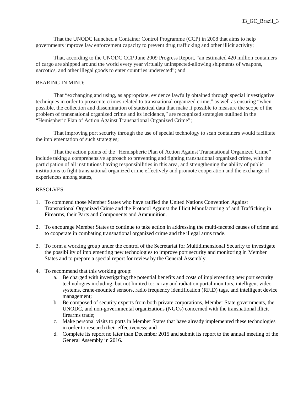That the UNODC launched a Container Control Programme (CCP) in 2008 that aims to help governments improve law enforcement capacity to prevent drug trafficking and other illicit activity;

That, according to the UNODC CCP June 2009 Progress Report, "an estimated 420 million containers of cargo are shipped around the world every year virtually uninspected-allowing shipments of weapons, narcotics, and other illegal goods to enter countries undetected"; and

# BEARING IN MIND:

That "exchanging and using, as appropriate, evidence lawfully obtained through special investigative techniques in order to prosecute crimes related to transnational organized crime," as well as ensuring "when possible, the collection and dissemination of statistical data that make it possible to measure the scope of the problem of transnational organized crime and its incidence," are recognized strategies outlined in the "Hemispheric Plan of Action Against Transnational Organized Crime";

That improving port security through the use of special technology to scan containers would facilitate the implementation of such strategies;

That the action points of the "Hemispheric Plan of Action Against Transnational Organized Crime" include taking a comprehensive approach to preventing and fighting transnational organized crime, with the participation of all institutions having responsibilities in this area, and strengthening the ability of public institutions to fight transnational organized crime effectively and promote cooperation and the exchange of experiences among states,

- 1. To commend those Member States who have ratified the United Nations Convention Against Transnational Organized Crime and the Protocol Against the Illicit Manufacturing of and Trafficking in Firearms, their Parts and Components and Ammunition.
- 2. To encourage Member States to continue to take action in addressing the multi-faceted causes of crime and to cooperate in combating transnational organized crime and the illegal arms trade.
- 3. To form a working group under the control of the Secretariat for Multidimensional Security to investigate the possibility of implementing new technologies to improve port security and monitoring in Member States and to prepare a special report for review by the General Assembly.
- 4. To recommend that this working group:
	- a. Be charged with investigating the potential benefits and costs of implementing new port security technologies including, but not limited to: x-ray and radiation portal monitors, intelligent video systems, crane-mounted sensors, radio frequency identification (RFID) tags, and intelligent device management;
	- b. Be composed of security experts from both private corporations, Member State governments, the UNODC, and non-governmental organizations (NGOs) concerned with the transnational illicit firearms trade;
	- c. Make personal visits to ports in Member States that have already implemented these technologies in order to research their effectiveness; and
	- d. Complete its report no later than December 2015 and submit its report to the annual meeting of the General Assembly in 2016.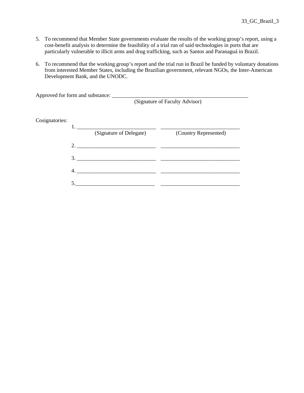- 5. To recommend that Member State governments evaluate the results of the working group's report, using a cost-benefit analysis to determine the feasibility of a trial run of said technologies in ports that are particularly vulnerable to illicit arms and drug trafficking, such as Santos and Paranaguá in Brazil.
- 6. To recommend that the working group's report and the trial run in Brazil be funded by voluntary donations from interested Member States, including the Brazilian government, relevant NGOs, the Inter-American Development Bank, and the UNODC.

|                |    | (Signature of Faculty Advisor) |                       |
|----------------|----|--------------------------------|-----------------------|
|                |    |                                |                       |
| Cosignatories: |    |                                |                       |
|                |    | $1.$ $\qquad \qquad$           |                       |
|                |    | (Signature of Delegate)        | (Country Represented) |
|                |    |                                |                       |
|                |    |                                |                       |
|                | 4. |                                |                       |
|                |    |                                |                       |
|                |    |                                |                       |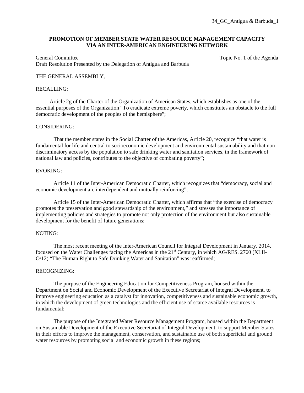# **PROMOTION OF MEMBER STATE WATER RESOURCE MANAGEMENT CAPACITY VIA AN INTER-AMERICAN ENGINEERING NETWORK**

General Committee Topic No. 1 of the Agenda Draft Resolution Presented by the Delegation of Antigua and Barbuda

# THE GENERAL ASSEMBLY,

#### RECALLING:

 Article 2g of the Charter of the Organization of American States, which establishes as one of the essential purposes of the Organization "To eradicate extreme poverty, which constitutes an obstacle to the full democratic development of the peoples of the hemisphere";

#### CONSIDERING:

 That the member states in the Social Charter of the Americas, Article 20, recognize "that water is fundamental for life and central to socioeconomic development and environmental sustainability and that nondiscriminatory access by the population to safe drinking water and sanitation services, in the framework of national law and policies, contributes to the objective of combating poverty";

#### EVOKING:

 Article 11 of the Inter-American Democratic Charter, which recognizes that "democracy, social and economic development are interdependent and mutually reinforcing";

Article 15 of the Inter-American Democratic Charter, which affirms that "the exercise of democracy promotes the preservation and good stewardship of the environment," and stresses the importance of implementing policies and strategies to promote not only protection of the environment but also sustainable development for the benefit of future generations;

#### NOTING:

 The most recent meeting of the Inter-American Council for Integral Development in January, 2014, focused on the Water Challenges facing the Americas in the 21<sup>st</sup> Century, in which AG/RES. 2760 (XLII-O/12) "The Human Right to Safe Drinking Water and Sanitation" was reaffirmed;

#### RECOGNIZING:

 The purpose of the Engineering Education for Competitiveness Program, housed within the Department on Social and Economic Development of the Executive Secretariat of Integral Development, to improve engineering education as a catalyst for innovation, competitiveness and sustainable economic growth, in which the development of green technologies and the efficient use of scarce available resources is fundamental;

 The purpose of the Integrated Water Resource Management Program, housed within the Department on Sustainable Development of the Executive Secretariat of Integral Development, to support Member States in their efforts to improve the management, conservation, and sustainable use of both superficial and ground water resources by promoting social and economic growth in these regions;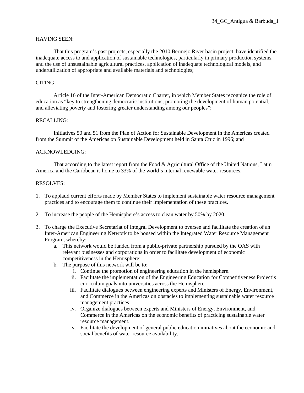# HAVING SEEN:

That this program's past projects, especially the 2010 Bermejo River basin project, have identified the inadequate access to and application of sustainable technologies, particularly in primary production systems, and the use of unsustainable agricultural practices, application of inadequate technological models, and underutilization of appropriate and available materials and technologies;

# CITING:

 Article 16 of the Inter-American Democratic Charter, in which Member States recognize the role of education as "key to strengthening democratic institutions, promoting the development of human potential, and alleviating poverty and fostering greater understanding among our peoples";

# RECALLING:

 Initiatives 50 and 51 from the Plan of Action for Sustainable Development in the Americas created from the Summit of the Americas on Sustainable Development held in Santa Cruz in 1996; and

# ACKNOWLEDGING:

 That according to the latest report from the Food & Agricultural Office of the United Nations, Latin America and the Caribbean is home to 33% of the world's internal renewable water resources,

- 1. To applaud current efforts made by Member States to implement sustainable water resource management practices and to encourage them to continue their implementation of these practices.
- 2. To increase the people of the Hemisphere's access to clean water by 50% by 2020.
- 3. To charge the Executive Secretariat of Integral Development to oversee and facilitate the creation of an Inter-American Engineering Network to be housed within the Integrated Water Resource Management Program, whereby:
	- a. This network would be funded from a public-private partnership pursued by the OAS with relevant businesses and corporations in order to facilitate development of economic competitiveness in the Hemisphere;
	- b. The purpose of this network will be to:
		- i. Continue the promotion of engineering education in the hemisphere.
		- ii. Facilitate the implementation of the Engineering Education for Competitiveness Project's curriculum goals into universities across the Hemisphere.
		- iii. Facilitate dialogues between engineering experts and Ministers of Energy, Environment, and Commerce in the Americas on obstacles to implementing sustainable water resource management practices.
		- iv. Organize dialogues between experts and Ministers of Energy, Environment, and Commerce in the Americas on the economic benefits of practicing sustainable water resource management.
		- v. Facilitate the development of general public education initiatives about the economic and social benefits of water resource availability.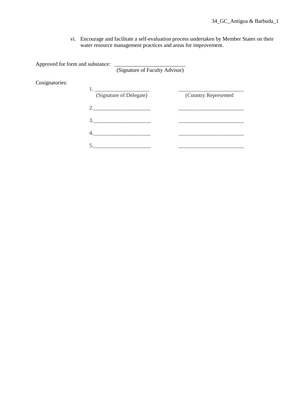vi. Encourage and facilitate a self-evaluation process undertaken by Member States on their water resource management practices and areas for improvement.

Approved for form and substance:

(Signature of Faculty Advisor)

Cosignatories:

| (Signature of Delegate) | (Country Represented |
|-------------------------|----------------------|
|                         |                      |
| $\mathcal{R}$           |                      |
|                         |                      |
|                         |                      |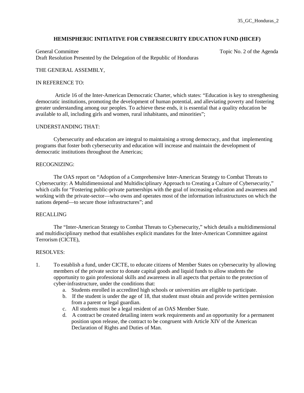### **HEMISPHERIC INITIATIVE FOR CYBERSECURITY EDUCATION FUND (HICEF)**

General Committee Topic No. 2 of the Agenda Draft Resolution Presented by the Delegation of the Republic of Honduras

## THE GENERAL ASSEMBLY,

#### IN REFERENCE TO:

 Article 16 of the Inter-American Democratic Charter, which states: "Education is key to strengthening democratic institutions, promoting the development of human potential, and alleviating poverty and fostering greater understanding among our peoples. To achieve these ends, it is essential that a quality education be available to all, including girls and women, rural inhabitants, and minorities";

#### UNDERSTANDING THAT:

Cybersecurity and education are integral to maintaining a strong democracy, and that implementing programs that foster both cybersecurity and education will increase and maintain the development of democratic institutions throughout the Americas;

#### RECOGNIZING:

The OAS report on "Adoption of a Comprehensive Inter-American Strategy to Combat Threats to Cybersecurity: A Multidimensional and Multidisciplinary Approach to Creating a Culture of Cybersecurity," which calls for "Fostering public-private partnerships with the goal of increasing education and awareness and working with the private-sector—who owns and operates most of the information infrastructures on which the nations depend—to secure those infrastructures"; and

## RECALLING

The "Inter-American Strategy to Combat Threats to Cybersecurity," which details a multidimensional and multidisciplinary method that establishes explicit mandates for the Inter-American Committee against Terrorism (CICTE),

- 1. To establish a fund, under CICTE, to educate citizens of Member States on cybersecurity by allowing members of the private sector to donate capital goods and liquid funds to allow students the opportunity to gain professional skills and awareness in all aspects that pertain to the protection of cyber-infrastructure, under the conditions that:
	- a. Students enrolled in accredited high schools or universities are eligible to participate.
	- b. If the student is under the age of 18, that student must obtain and provide written permission from a parent or legal guardian.
	- c. All students must be a legal resident of an OAS Member State.
	- d. A contract be created detailing intern work requirements and an opportunity for a permanent position upon release, the contract to be congruent with Article XIV of the American Declaration of Rights and Duties of Man.